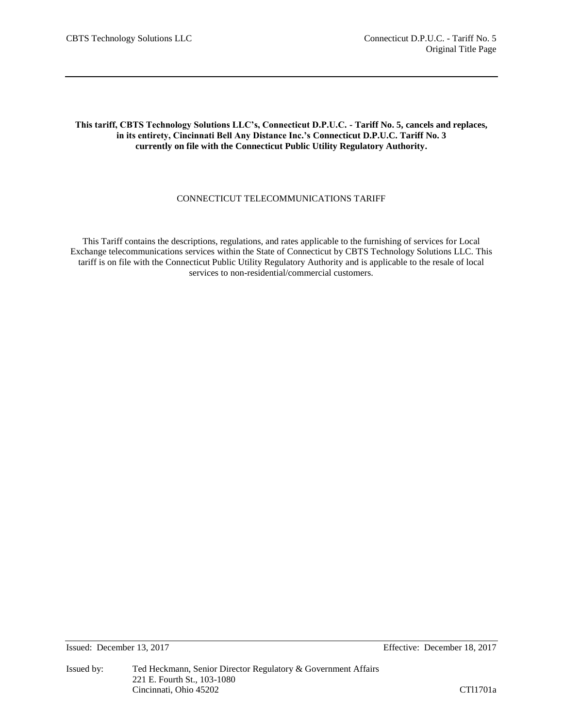# **This tariff, CBTS Technology Solutions LLC's, Connecticut D.P.U.C. - Tariff No. 5, cancels and replaces, in its entirety, Cincinnati Bell Any Distance Inc.'s Connecticut D.P.U.C. Tariff No. 3 currently on file with the Connecticut Public Utility Regulatory Authority.**

# CONNECTICUT TELECOMMUNICATIONS TARIFF

This Tariff contains the descriptions, regulations, and rates applicable to the furnishing of services for Local Exchange telecommunications services within the State of Connecticut by CBTS Technology Solutions LLC. This tariff is on file with the Connecticut Public Utility Regulatory Authority and is applicable to the resale of local services to non-residential/commercial customers.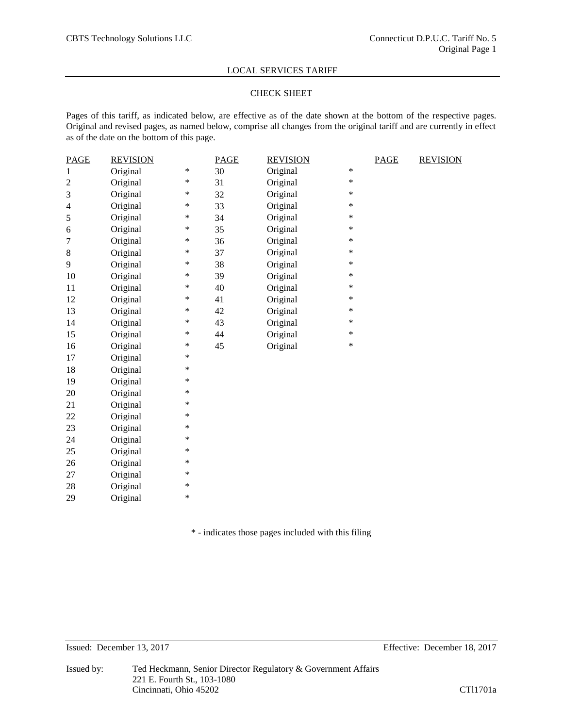## CHECK SHEET

Pages of this tariff, as indicated below, are effective as of the date shown at the bottom of the respective pages. Original and revised pages, as named below, comprise all changes from the original tariff and are currently in effect as of the date on the bottom of this page.

| <b>PAGE</b>    | <b>REVISION</b> |        | <b>PAGE</b> | <b>REVISION</b> |        | <b>PAGE</b> | <b>REVISION</b> |
|----------------|-----------------|--------|-------------|-----------------|--------|-------------|-----------------|
| 1              | Original        | $\ast$ | 30          | Original        | $\ast$ |             |                 |
| $\overline{c}$ | Original        | $\ast$ | 31          | Original        | $\ast$ |             |                 |
| 3              | Original        | $\ast$ | 32          | Original        | $\ast$ |             |                 |
| $\overline{4}$ | Original        | $\ast$ | 33          | Original        | *      |             |                 |
| 5              | Original        | ∗      | 34          | Original        | $\ast$ |             |                 |
| 6              | Original        | $\ast$ | 35          | Original        | *      |             |                 |
| $\overline{7}$ | Original        | *      | 36          | Original        | *      |             |                 |
| $8\,$          | Original        | ∗      | 37          | Original        | *      |             |                 |
| 9              | Original        | $\ast$ | 38          | Original        | *      |             |                 |
| 10             | Original        | $\ast$ | 39          | Original        | $\ast$ |             |                 |
| 11             | Original        | $\ast$ | 40          | Original        | *      |             |                 |
| 12             | Original        | $\ast$ | 41          | Original        | *      |             |                 |
| 13             | Original        | $\ast$ | 42          | Original        | $\ast$ |             |                 |
| 14             | Original        | $\ast$ | 43          | Original        | *      |             |                 |
| 15             | Original        | ∗      | 44          | Original        | $\ast$ |             |                 |
| 16             | Original        | ∗      | 45          | Original        | $\ast$ |             |                 |
| 17             | Original        | *      |             |                 |        |             |                 |
| 18             | Original        | $\ast$ |             |                 |        |             |                 |
| 19             | Original        | ∗      |             |                 |        |             |                 |
| 20             | Original        | $\ast$ |             |                 |        |             |                 |
| 21             | Original        | ∗      |             |                 |        |             |                 |
| 22             | Original        | ∗      |             |                 |        |             |                 |
| 23             | Original        | $\ast$ |             |                 |        |             |                 |
| 24             | Original        | $\ast$ |             |                 |        |             |                 |
| 25             | Original        | $\ast$ |             |                 |        |             |                 |
| 26             | Original        | $\ast$ |             |                 |        |             |                 |
| 27             | Original        | $\ast$ |             |                 |        |             |                 |
| 28             | Original        | $\ast$ |             |                 |        |             |                 |
| 29             | Original        | $\ast$ |             |                 |        |             |                 |

\* - indicates those pages included with this filing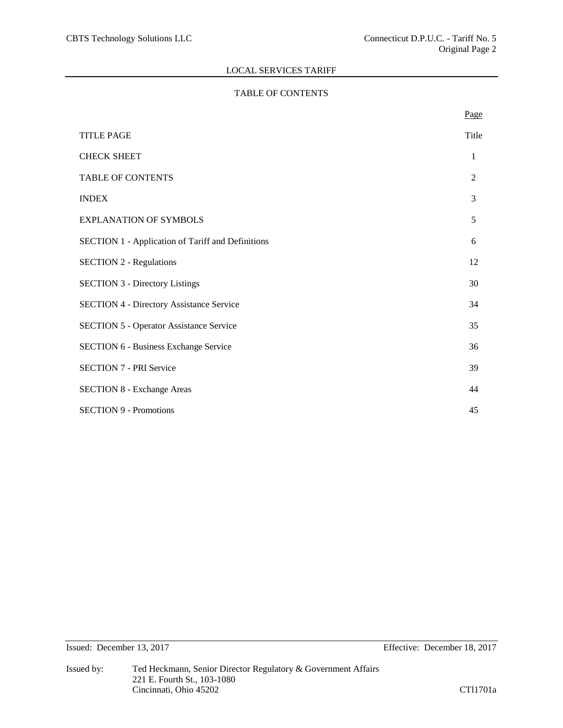# TABLE OF CONTENTS

|                                                          | Page  |
|----------------------------------------------------------|-------|
| <b>TITLE PAGE</b>                                        | Title |
| <b>CHECK SHEET</b>                                       | 1     |
| TABLE OF CONTENTS                                        | 2     |
| <b>INDEX</b>                                             | 3     |
| <b>EXPLANATION OF SYMBOLS</b>                            | 5     |
| <b>SECTION 1 - Application of Tariff and Definitions</b> | 6     |
| <b>SECTION 2 - Regulations</b>                           | 12    |
| <b>SECTION 3 - Directory Listings</b>                    | 30    |
| <b>SECTION 4 - Directory Assistance Service</b>          | 34    |
| <b>SECTION 5 - Operator Assistance Service</b>           | 35    |
| <b>SECTION 6 - Business Exchange Service</b>             | 36    |
| <b>SECTION 7 - PRI Service</b>                           | 39    |
| <b>SECTION 8 - Exchange Areas</b>                        | 44    |
| <b>SECTION 9 - Promotions</b>                            | 45    |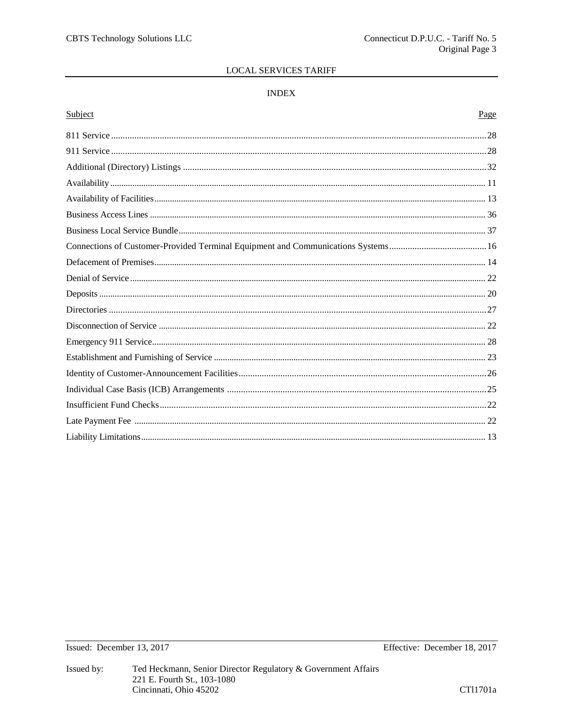## **INDEX**

## Subject

# Page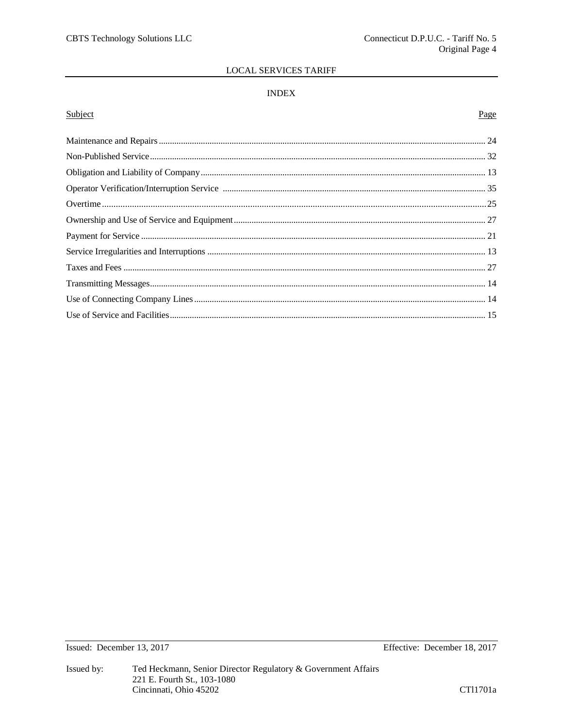## **INDEX**

## Subject

# Page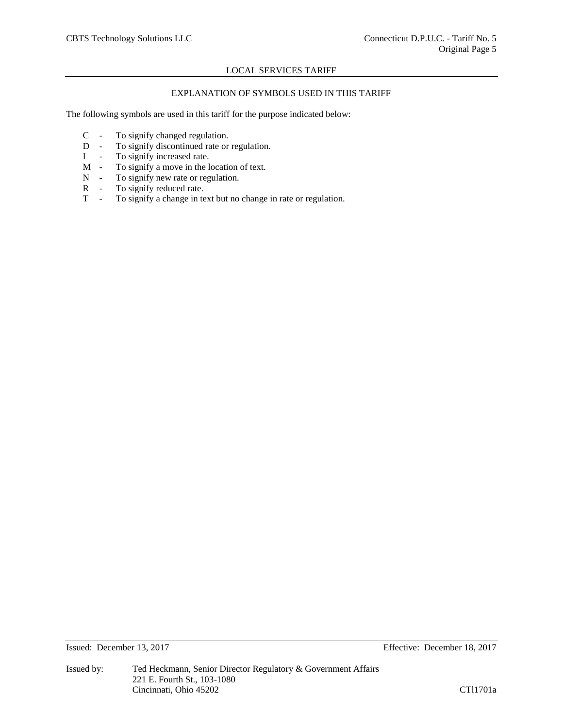# EXPLANATION OF SYMBOLS USED IN THIS TARIFF

The following symbols are used in this tariff for the purpose indicated below:

- C To signify changed regulation.
- D To signify discontinued rate or regulation.
- I To signify increased rate.<br>M To signify a move in the l
- To signify a move in the location of text.
- N To signify new rate or regulation.<br>R To signify reduced rate.
- R To signify reduced rate.<br>T To signify a change in te
- To signify a change in text but no change in rate or regulation.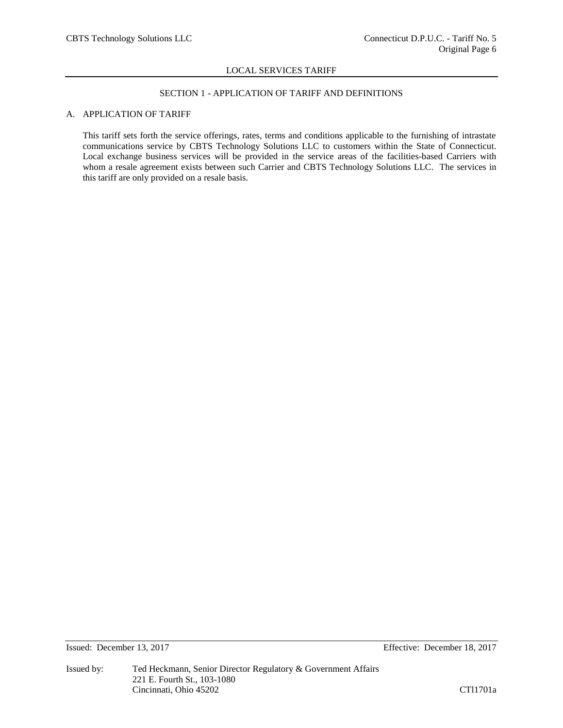## SECTION 1 - APPLICATION OF TARIFF AND DEFINITIONS

## A. APPLICATION OF TARIFF

This tariff sets forth the service offerings, rates, terms and conditions applicable to the furnishing of intrastate communications service by CBTS Technology Solutions LLC to customers within the State of Connecticut. Local exchange business services will be provided in the service areas of the facilities-based Carriers with whom a resale agreement exists between such Carrier and CBTS Technology Solutions LLC. The services in this tariff are only provided on a resale basis.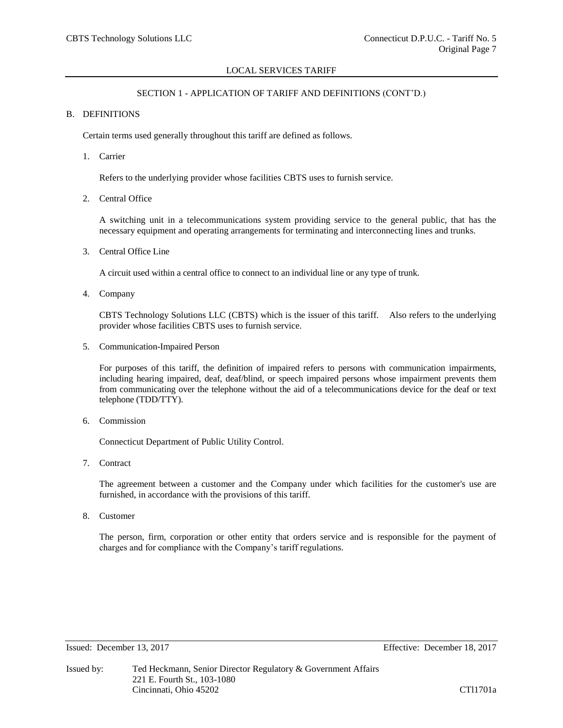## SECTION 1 - APPLICATION OF TARIFF AND DEFINITIONS (CONT'D.)

## B. DEFINITIONS

Certain terms used generally throughout this tariff are defined as follows.

1. Carrier

Refers to the underlying provider whose facilities CBTS uses to furnish service.

2. Central Office

A switching unit in a telecommunications system providing service to the general public, that has the necessary equipment and operating arrangements for terminating and interconnecting lines and trunks.

3. Central Office Line

A circuit used within a central office to connect to an individual line or any type of trunk.

4. Company

CBTS Technology Solutions LLC (CBTS) which is the issuer of this tariff. Also refers to the underlying provider whose facilities CBTS uses to furnish service.

5. Communication-Impaired Person

For purposes of this tariff, the definition of impaired refers to persons with communication impairments, including hearing impaired, deaf, deaf/blind, or speech impaired persons whose impairment prevents them from communicating over the telephone without the aid of a telecommunications device for the deaf or text telephone (TDD/TTY).

6. Commission

Connecticut Department of Public Utility Control.

7. Contract

The agreement between a customer and the Company under which facilities for the customer's use are furnished, in accordance with the provisions of this tariff.

8. Customer

The person, firm, corporation or other entity that orders service and is responsible for the payment of charges and for compliance with the Company's tariff regulations.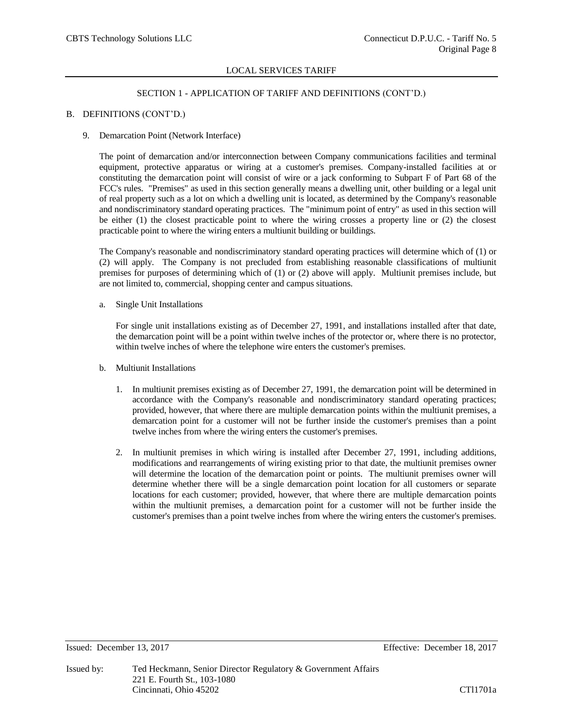## SECTION 1 - APPLICATION OF TARIFF AND DEFINITIONS (CONT'D.)

## B. DEFINITIONS (CONT'D.)

### 9. Demarcation Point (Network Interface)

The point of demarcation and/or interconnection between Company communications facilities and terminal equipment, protective apparatus or wiring at a customer's premises. Company-installed facilities at or constituting the demarcation point will consist of wire or a jack conforming to Subpart F of Part 68 of the FCC's rules. "Premises" as used in this section generally means a dwelling unit, other building or a legal unit of real property such as a lot on which a dwelling unit is located, as determined by the Company's reasonable and nondiscriminatory standard operating practices. The "minimum point of entry" as used in this section will be either (1) the closest practicable point to where the wiring crosses a property line or (2) the closest practicable point to where the wiring enters a multiunit building or buildings.

The Company's reasonable and nondiscriminatory standard operating practices will determine which of (1) or (2) will apply. The Company is not precluded from establishing reasonable classifications of multiunit premises for purposes of determining which of (1) or (2) above will apply. Multiunit premises include, but are not limited to, commercial, shopping center and campus situations.

a. Single Unit Installations

For single unit installations existing as of December 27, 1991, and installations installed after that date, the demarcation point will be a point within twelve inches of the protector or, where there is no protector, within twelve inches of where the telephone wire enters the customer's premises.

- b. Multiunit Installations
	- 1. In multiunit premises existing as of December 27, 1991, the demarcation point will be determined in accordance with the Company's reasonable and nondiscriminatory standard operating practices; provided, however, that where there are multiple demarcation points within the multiunit premises, a demarcation point for a customer will not be further inside the customer's premises than a point twelve inches from where the wiring enters the customer's premises.
	- 2. In multiunit premises in which wiring is installed after December 27, 1991, including additions, modifications and rearrangements of wiring existing prior to that date, the multiunit premises owner will determine the location of the demarcation point or points. The multiunit premises owner will determine whether there will be a single demarcation point location for all customers or separate locations for each customer; provided, however, that where there are multiple demarcation points within the multiunit premises, a demarcation point for a customer will not be further inside the customer's premises than a point twelve inches from where the wiring enters the customer's premises.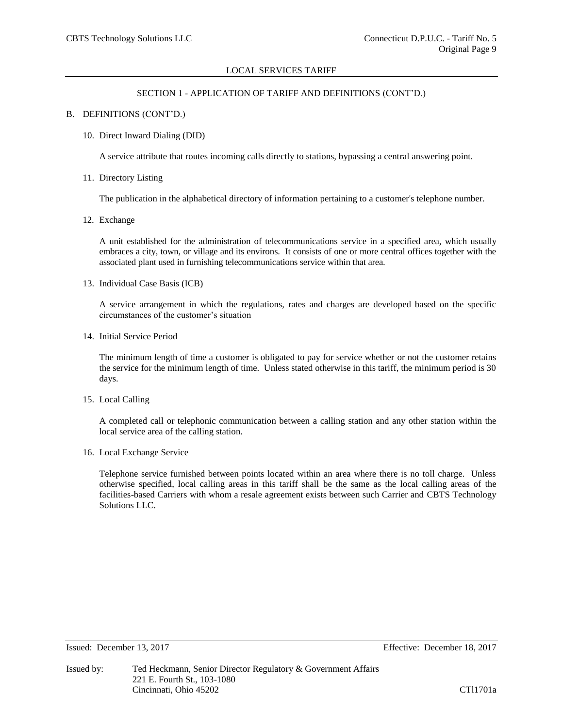## SECTION 1 - APPLICATION OF TARIFF AND DEFINITIONS (CONT'D.)

## B. DEFINITIONS (CONT'D.)

### 10. Direct Inward Dialing (DID)

A service attribute that routes incoming calls directly to stations, bypassing a central answering point.

## 11. Directory Listing

The publication in the alphabetical directory of information pertaining to a customer's telephone number.

12. Exchange

A unit established for the administration of telecommunications service in a specified area, which usually embraces a city, town, or village and its environs. It consists of one or more central offices together with the associated plant used in furnishing telecommunications service within that area.

13. Individual Case Basis (ICB)

A service arrangement in which the regulations, rates and charges are developed based on the specific circumstances of the customer's situation

14. Initial Service Period

The minimum length of time a customer is obligated to pay for service whether or not the customer retains the service for the minimum length of time. Unless stated otherwise in this tariff, the minimum period is 30 days.

15. Local Calling

A completed call or telephonic communication between a calling station and any other station within the local service area of the calling station.

16. Local Exchange Service

Telephone service furnished between points located within an area where there is no toll charge. Unless otherwise specified, local calling areas in this tariff shall be the same as the local calling areas of the facilities-based Carriers with whom a resale agreement exists between such Carrier and CBTS Technology Solutions LLC.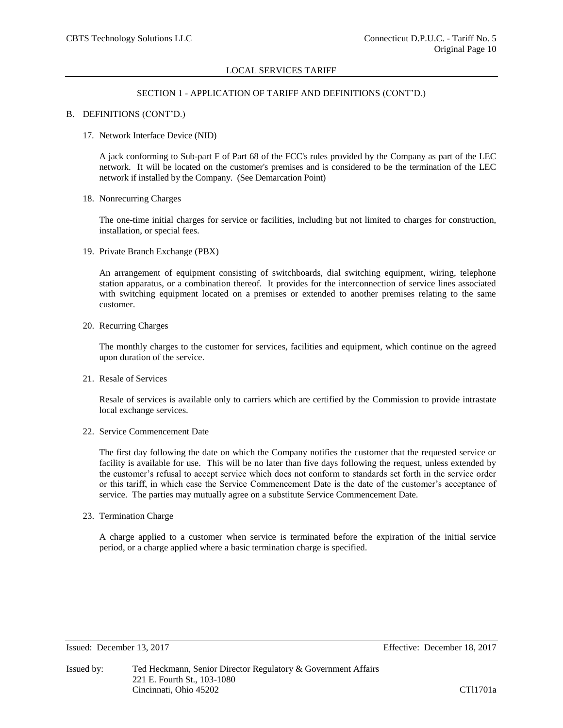## SECTION 1 - APPLICATION OF TARIFF AND DEFINITIONS (CONT'D.)

## B. DEFINITIONS (CONT'D.)

17. Network Interface Device (NID)

A jack conforming to Sub-part F of Part 68 of the FCC's rules provided by the Company as part of the LEC network. It will be located on the customer's premises and is considered to be the termination of the LEC network if installed by the Company. (See Demarcation Point)

18. Nonrecurring Charges

The one-time initial charges for service or facilities, including but not limited to charges for construction, installation, or special fees.

19. Private Branch Exchange (PBX)

An arrangement of equipment consisting of switchboards, dial switching equipment, wiring, telephone station apparatus, or a combination thereof. It provides for the interconnection of service lines associated with switching equipment located on a premises or extended to another premises relating to the same customer.

20. Recurring Charges

The monthly charges to the customer for services, facilities and equipment, which continue on the agreed upon duration of the service.

21. Resale of Services

Resale of services is available only to carriers which are certified by the Commission to provide intrastate local exchange services.

22. Service Commencement Date

The first day following the date on which the Company notifies the customer that the requested service or facility is available for use. This will be no later than five days following the request, unless extended by the customer's refusal to accept service which does not conform to standards set forth in the service order or this tariff, in which case the Service Commencement Date is the date of the customer's acceptance of service. The parties may mutually agree on a substitute Service Commencement Date.

23. Termination Charge

A charge applied to a customer when service is terminated before the expiration of the initial service period, or a charge applied where a basic termination charge is specified.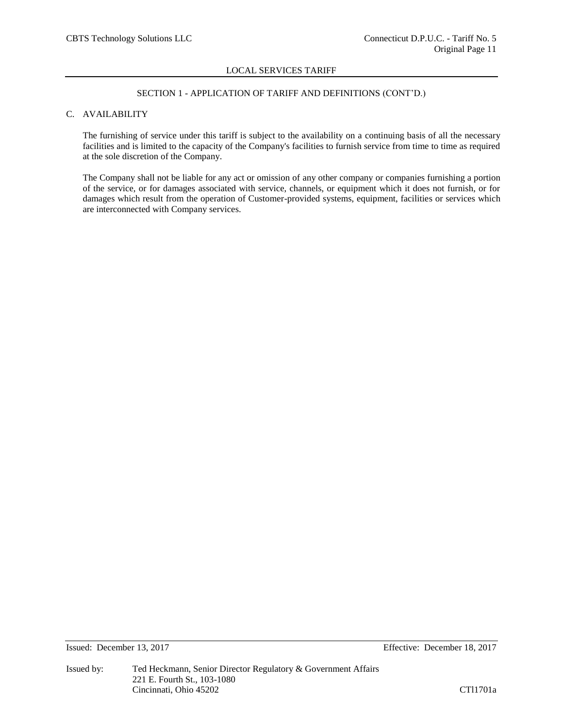## SECTION 1 - APPLICATION OF TARIFF AND DEFINITIONS (CONT'D.)

## C. AVAILABILITY

The furnishing of service under this tariff is subject to the availability on a continuing basis of all the necessary facilities and is limited to the capacity of the Company's facilities to furnish service from time to time as required at the sole discretion of the Company.

The Company shall not be liable for any act or omission of any other company or companies furnishing a portion of the service, or for damages associated with service, channels, or equipment which it does not furnish, or for damages which result from the operation of Customer-provided systems, equipment, facilities or services which are interconnected with Company services.

Issued: December 13, 2017 Effective: December 18, 2017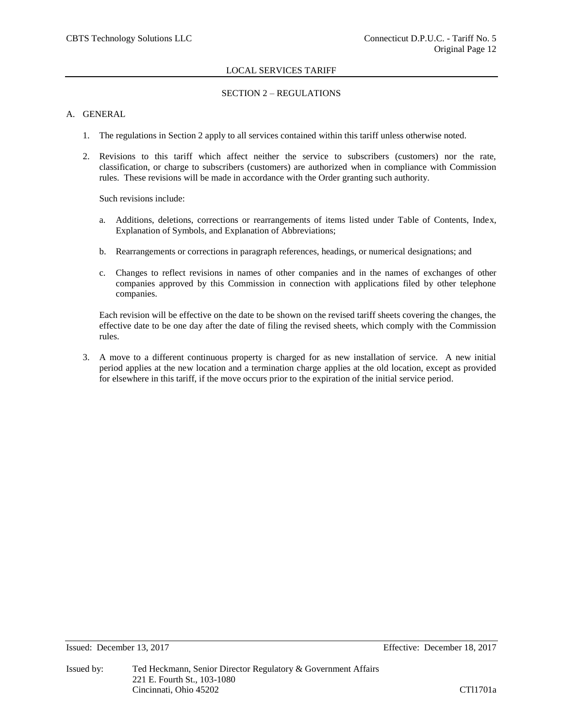# SECTION 2 – REGULATIONS

# A. GENERAL

- 1. The regulations in Section 2 apply to all services contained within this tariff unless otherwise noted.
- 2. Revisions to this tariff which affect neither the service to subscribers (customers) nor the rate, classification, or charge to subscribers (customers) are authorized when in compliance with Commission rules. These revisions will be made in accordance with the Order granting such authority.

Such revisions include:

- a. Additions, deletions, corrections or rearrangements of items listed under Table of Contents, Index, Explanation of Symbols, and Explanation of Abbreviations;
- b. Rearrangements or corrections in paragraph references, headings, or numerical designations; and
- c. Changes to reflect revisions in names of other companies and in the names of exchanges of other companies approved by this Commission in connection with applications filed by other telephone companies.

Each revision will be effective on the date to be shown on the revised tariff sheets covering the changes, the effective date to be one day after the date of filing the revised sheets, which comply with the Commission rules.

3. A move to a different continuous property is charged for as new installation of service. A new initial period applies at the new location and a termination charge applies at the old location, except as provided for elsewhere in this tariff, if the move occurs prior to the expiration of the initial service period.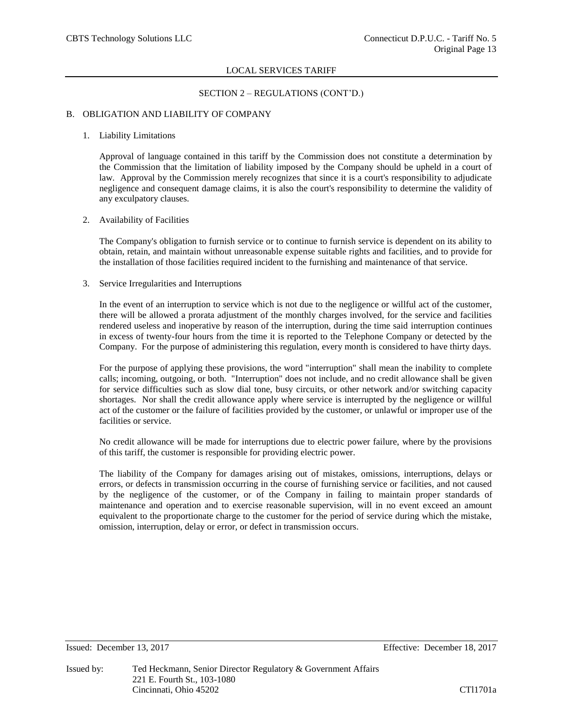## SECTION 2 – REGULATIONS (CONT'D.)

## B. OBLIGATION AND LIABILITY OF COMPANY

#### 1. Liability Limitations

Approval of language contained in this tariff by the Commission does not constitute a determination by the Commission that the limitation of liability imposed by the Company should be upheld in a court of law. Approval by the Commission merely recognizes that since it is a court's responsibility to adjudicate negligence and consequent damage claims, it is also the court's responsibility to determine the validity of any exculpatory clauses.

### 2. Availability of Facilities

The Company's obligation to furnish service or to continue to furnish service is dependent on its ability to obtain, retain, and maintain without unreasonable expense suitable rights and facilities, and to provide for the installation of those facilities required incident to the furnishing and maintenance of that service.

## 3. Service Irregularities and Interruptions

In the event of an interruption to service which is not due to the negligence or willful act of the customer, there will be allowed a prorata adjustment of the monthly charges involved, for the service and facilities rendered useless and inoperative by reason of the interruption, during the time said interruption continues in excess of twenty-four hours from the time it is reported to the Telephone Company or detected by the Company. For the purpose of administering this regulation, every month is considered to have thirty days.

For the purpose of applying these provisions, the word "interruption" shall mean the inability to complete calls; incoming, outgoing, or both. "Interruption" does not include, and no credit allowance shall be given for service difficulties such as slow dial tone, busy circuits, or other network and/or switching capacity shortages. Nor shall the credit allowance apply where service is interrupted by the negligence or willful act of the customer or the failure of facilities provided by the customer, or unlawful or improper use of the facilities or service.

No credit allowance will be made for interruptions due to electric power failure, where by the provisions of this tariff, the customer is responsible for providing electric power.

The liability of the Company for damages arising out of mistakes, omissions, interruptions, delays or errors, or defects in transmission occurring in the course of furnishing service or facilities, and not caused by the negligence of the customer, or of the Company in failing to maintain proper standards of maintenance and operation and to exercise reasonable supervision, will in no event exceed an amount equivalent to the proportionate charge to the customer for the period of service during which the mistake, omission, interruption, delay or error, or defect in transmission occurs.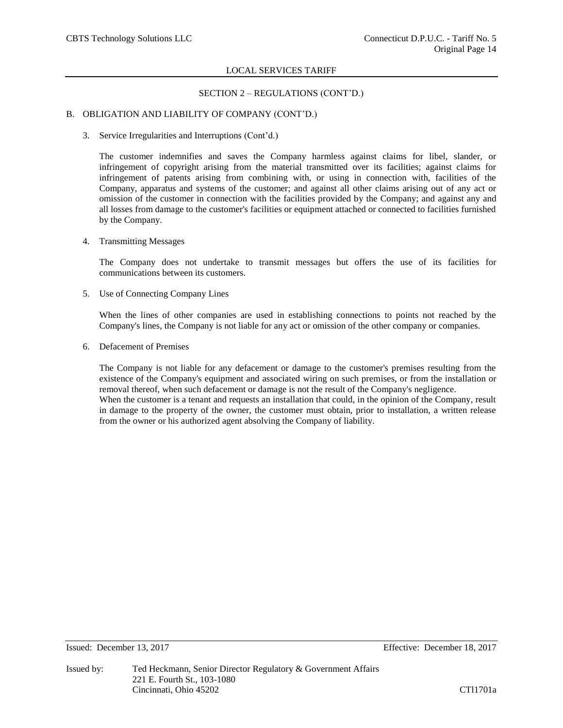## SECTION 2 – REGULATIONS (CONT'D.)

## B. OBLIGATION AND LIABILITY OF COMPANY (CONT'D.)

3. Service Irregularities and Interruptions (Cont'd.)

The customer indemnifies and saves the Company harmless against claims for libel, slander, or infringement of copyright arising from the material transmitted over its facilities; against claims for infringement of patents arising from combining with, or using in connection with, facilities of the Company, apparatus and systems of the customer; and against all other claims arising out of any act or omission of the customer in connection with the facilities provided by the Company; and against any and all losses from damage to the customer's facilities or equipment attached or connected to facilities furnished by the Company.

4. Transmitting Messages

The Company does not undertake to transmit messages but offers the use of its facilities for communications between its customers.

5. Use of Connecting Company Lines

When the lines of other companies are used in establishing connections to points not reached by the Company's lines, the Company is not liable for any act or omission of the other company or companies.

6. Defacement of Premises

The Company is not liable for any defacement or damage to the customer's premises resulting from the existence of the Company's equipment and associated wiring on such premises, or from the installation or removal thereof, when such defacement or damage is not the result of the Company's negligence. When the customer is a tenant and requests an installation that could, in the opinion of the Company, result in damage to the property of the owner, the customer must obtain, prior to installation, a written release from the owner or his authorized agent absolving the Company of liability.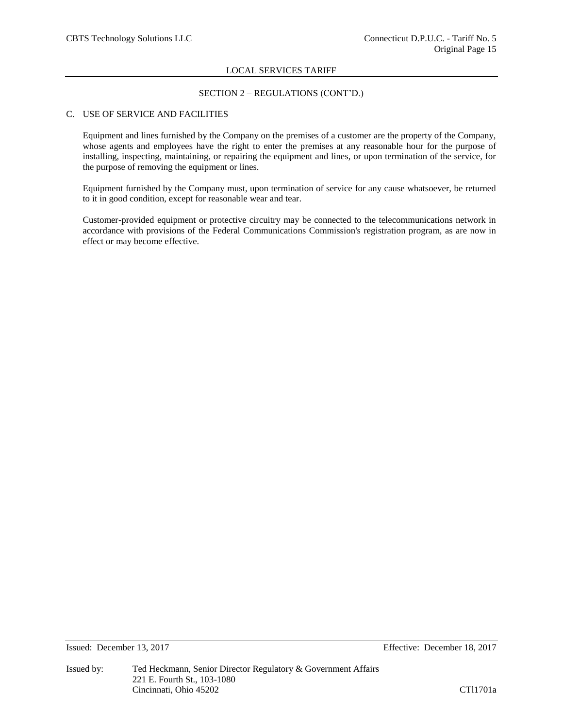# SECTION 2 – REGULATIONS (CONT'D.)

# C. USE OF SERVICE AND FACILITIES

Equipment and lines furnished by the Company on the premises of a customer are the property of the Company, whose agents and employees have the right to enter the premises at any reasonable hour for the purpose of installing, inspecting, maintaining, or repairing the equipment and lines, or upon termination of the service, for the purpose of removing the equipment or lines.

Equipment furnished by the Company must, upon termination of service for any cause whatsoever, be returned to it in good condition, except for reasonable wear and tear.

Customer-provided equipment or protective circuitry may be connected to the telecommunications network in accordance with provisions of the Federal Communications Commission's registration program, as are now in effect or may become effective.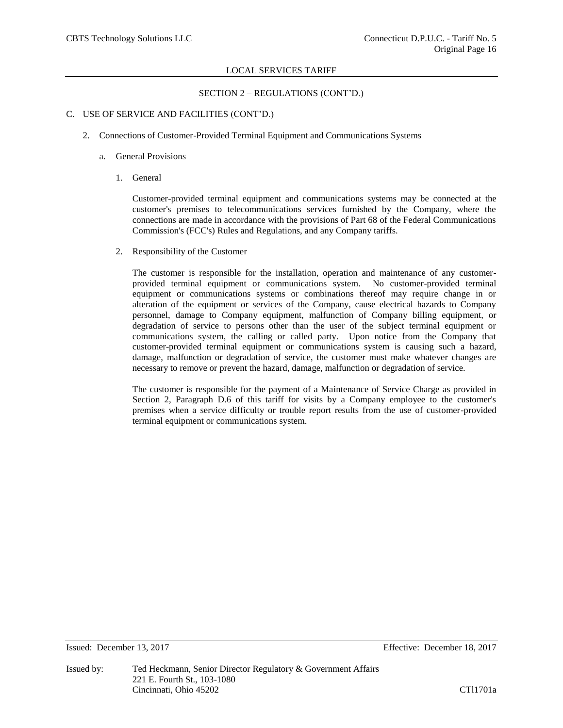## SECTION 2 – REGULATIONS (CONT'D.)

## C. USE OF SERVICE AND FACILITIES (CONT'D.)

2. Connections of Customer-Provided Terminal Equipment and Communications Systems

## a. General Provisions

1. General

Customer-provided terminal equipment and communications systems may be connected at the customer's premises to telecommunications services furnished by the Company, where the connections are made in accordance with the provisions of Part 68 of the Federal Communications Commission's (FCC's) Rules and Regulations, and any Company tariffs.

2. Responsibility of the Customer

The customer is responsible for the installation, operation and maintenance of any customerprovided terminal equipment or communications system. No customer-provided terminal equipment or communications systems or combinations thereof may require change in or alteration of the equipment or services of the Company, cause electrical hazards to Company personnel, damage to Company equipment, malfunction of Company billing equipment, or degradation of service to persons other than the user of the subject terminal equipment or communications system, the calling or called party. Upon notice from the Company that customer-provided terminal equipment or communications system is causing such a hazard, damage, malfunction or degradation of service, the customer must make whatever changes are necessary to remove or prevent the hazard, damage, malfunction or degradation of service.

The customer is responsible for the payment of a Maintenance of Service Charge as provided in Section 2, Paragraph D.6 of this tariff for visits by a Company employee to the customer's premises when a service difficulty or trouble report results from the use of customer-provided terminal equipment or communications system.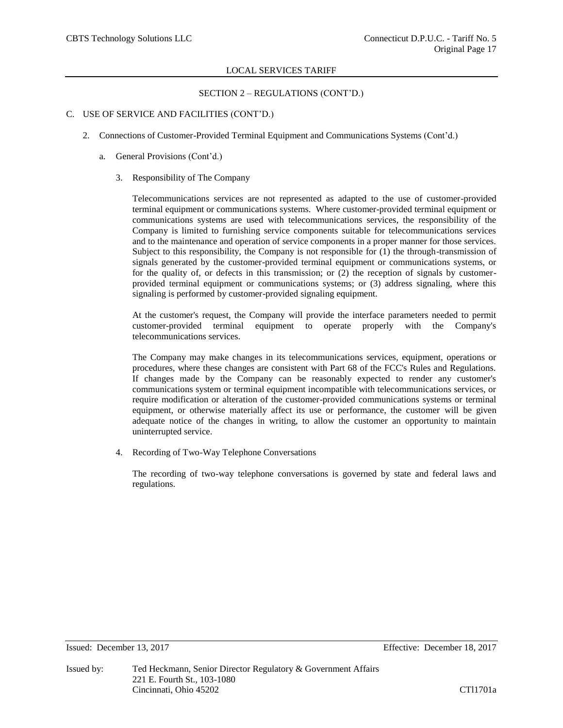SECTION 2 – REGULATIONS (CONT'D.)

## C. USE OF SERVICE AND FACILITIES (CONT'D.)

- 2. Connections of Customer-Provided Terminal Equipment and Communications Systems (Cont'd.)
	- a. General Provisions (Cont'd.)
		- 3. Responsibility of The Company

Telecommunications services are not represented as adapted to the use of customer-provided terminal equipment or communications systems. Where customer-provided terminal equipment or communications systems are used with telecommunications services, the responsibility of the Company is limited to furnishing service components suitable for telecommunications services and to the maintenance and operation of service components in a proper manner for those services. Subject to this responsibility, the Company is not responsible for (1) the through-transmission of signals generated by the customer-provided terminal equipment or communications systems, or for the quality of, or defects in this transmission; or (2) the reception of signals by customerprovided terminal equipment or communications systems; or (3) address signaling, where this signaling is performed by customer-provided signaling equipment.

At the customer's request, the Company will provide the interface parameters needed to permit customer-provided terminal equipment to operate properly with the Company's telecommunications services.

The Company may make changes in its telecommunications services, equipment, operations or procedures, where these changes are consistent with Part 68 of the FCC's Rules and Regulations. If changes made by the Company can be reasonably expected to render any customer's communications system or terminal equipment incompatible with telecommunications services, or require modification or alteration of the customer-provided communications systems or terminal equipment, or otherwise materially affect its use or performance, the customer will be given adequate notice of the changes in writing, to allow the customer an opportunity to maintain uninterrupted service.

4. Recording of Two-Way Telephone Conversations

The recording of two-way telephone conversations is governed by state and federal laws and regulations.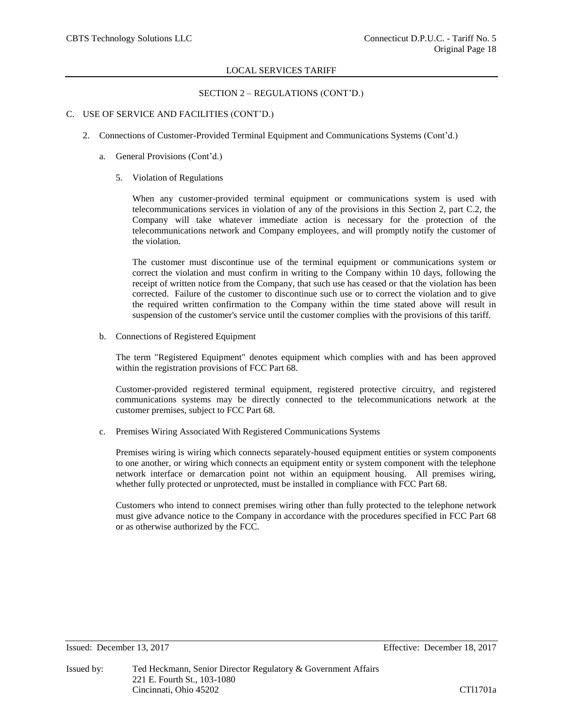## SECTION 2 – REGULATIONS (CONT'D.)

## C. USE OF SERVICE AND FACILITIES (CONT'D.)

- 2. Connections of Customer-Provided Terminal Equipment and Communications Systems (Cont'd.)
	- a. General Provisions (Cont'd.)
		- 5. Violation of Regulations

When any customer-provided terminal equipment or communications system is used with telecommunications services in violation of any of the provisions in this Section 2, part C.2, the Company will take whatever immediate action is necessary for the protection of the telecommunications network and Company employees, and will promptly notify the customer of the violation.

The customer must discontinue use of the terminal equipment or communications system or correct the violation and must confirm in writing to the Company within 10 days, following the receipt of written notice from the Company, that such use has ceased or that the violation has been corrected. Failure of the customer to discontinue such use or to correct the violation and to give the required written confirmation to the Company within the time stated above will result in suspension of the customer's service until the customer complies with the provisions of this tariff.

b. Connections of Registered Equipment

The term "Registered Equipment" denotes equipment which complies with and has been approved within the registration provisions of FCC Part 68.

Customer-provided registered terminal equipment, registered protective circuitry, and registered communications systems may be directly connected to the telecommunications network at the customer premises, subject to FCC Part 68.

c. Premises Wiring Associated With Registered Communications Systems

Premises wiring is wiring which connects separately-housed equipment entities or system components to one another, or wiring which connects an equipment entity or system component with the telephone network interface or demarcation point not within an equipment housing. All premises wiring, whether fully protected or unprotected, must be installed in compliance with FCC Part 68.

Customers who intend to connect premises wiring other than fully protected to the telephone network must give advance notice to the Company in accordance with the procedures specified in FCC Part 68 or as otherwise authorized by the FCC.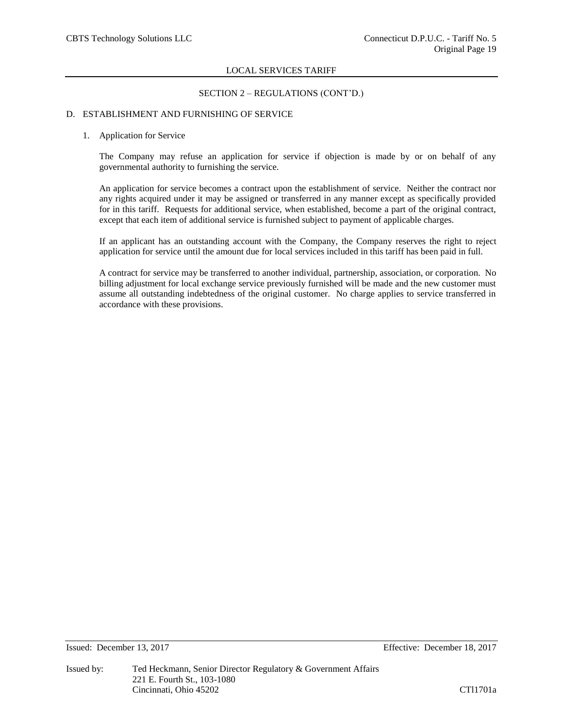## SECTION 2 – REGULATIONS (CONT'D.)

## D. ESTABLISHMENT AND FURNISHING OF SERVICE

#### 1. Application for Service

The Company may refuse an application for service if objection is made by or on behalf of any governmental authority to furnishing the service.

An application for service becomes a contract upon the establishment of service. Neither the contract nor any rights acquired under it may be assigned or transferred in any manner except as specifically provided for in this tariff. Requests for additional service, when established, become a part of the original contract, except that each item of additional service is furnished subject to payment of applicable charges.

If an applicant has an outstanding account with the Company, the Company reserves the right to reject application for service until the amount due for local services included in this tariff has been paid in full.

A contract for service may be transferred to another individual, partnership, association, or corporation. No billing adjustment for local exchange service previously furnished will be made and the new customer must assume all outstanding indebtedness of the original customer. No charge applies to service transferred in accordance with these provisions.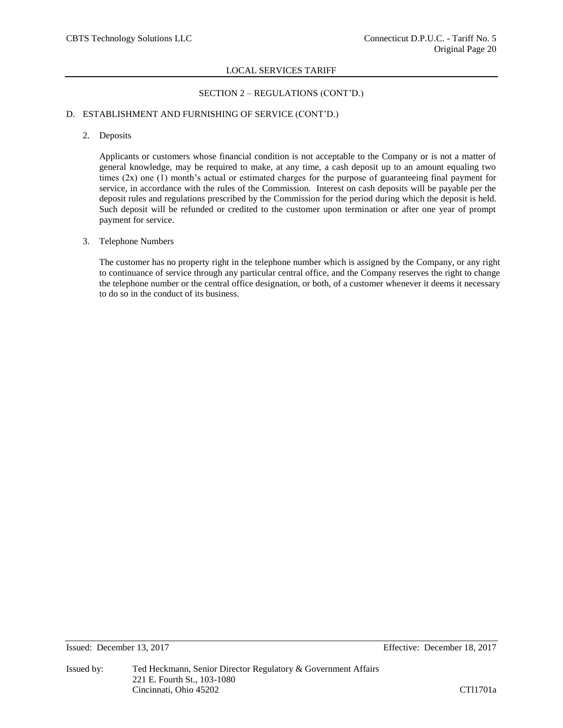# SECTION 2 – REGULATIONS (CONT'D.)

## D. ESTABLISHMENT AND FURNISHING OF SERVICE (CONT'D.)

## 2. Deposits

Applicants or customers whose financial condition is not acceptable to the Company or is not a matter of general knowledge, may be required to make, at any time, a cash deposit up to an amount equaling two times  $(2x)$  one  $(1)$  month's actual or estimated charges for the purpose of guaranteeing final payment for service, in accordance with the rules of the Commission. Interest on cash deposits will be payable per the deposit rules and regulations prescribed by the Commission for the period during which the deposit is held. Such deposit will be refunded or credited to the customer upon termination or after one year of prompt payment for service.

## 3. Telephone Numbers

The customer has no property right in the telephone number which is assigned by the Company, or any right to continuance of service through any particular central office, and the Company reserves the right to change the telephone number or the central office designation, or both, of a customer whenever it deems it necessary to do so in the conduct of its business.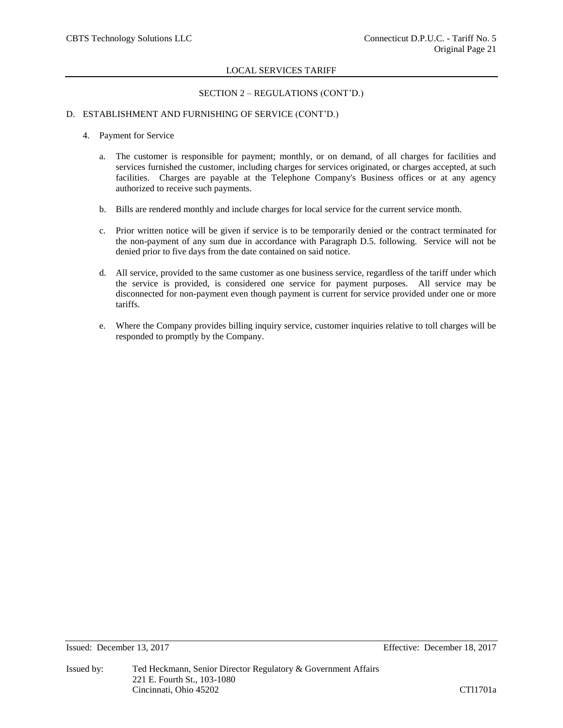## SECTION 2 – REGULATIONS (CONT'D.)

## D. ESTABLISHMENT AND FURNISHING OF SERVICE (CONT'D.)

- 4. Payment for Service
	- a. The customer is responsible for payment; monthly, or on demand, of all charges for facilities and services furnished the customer, including charges for services originated, or charges accepted, at such facilities. Charges are payable at the Telephone Company's Business offices or at any agency authorized to receive such payments.
	- b. Bills are rendered monthly and include charges for local service for the current service month.
	- c. Prior written notice will be given if service is to be temporarily denied or the contract terminated for the non-payment of any sum due in accordance with Paragraph D.5. following. Service will not be denied prior to five days from the date contained on said notice.
	- d. All service, provided to the same customer as one business service, regardless of the tariff under which the service is provided, is considered one service for payment purposes. All service may be disconnected for non-payment even though payment is current for service provided under one or more tariffs.
	- e. Where the Company provides billing inquiry service, customer inquiries relative to toll charges will be responded to promptly by the Company.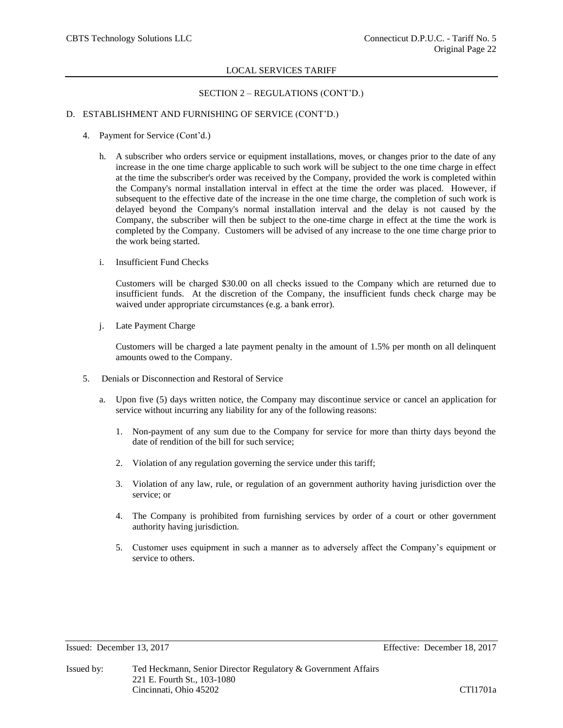## SECTION 2 – REGULATIONS (CONT'D.)

## D. ESTABLISHMENT AND FURNISHING OF SERVICE (CONT'D.)

- 4. Payment for Service (Cont'd.)
	- h. A subscriber who orders service or equipment installations, moves, or changes prior to the date of any increase in the one time charge applicable to such work will be subject to the one time charge in effect at the time the subscriber's order was received by the Company, provided the work is completed within the Company's normal installation interval in effect at the time the order was placed. However, if subsequent to the effective date of the increase in the one time charge, the completion of such work is delayed beyond the Company's normal installation interval and the delay is not caused by the Company, the subscriber will then be subject to the one-time charge in effect at the time the work is completed by the Company. Customers will be advised of any increase to the one time charge prior to the work being started.
	- i. Insufficient Fund Checks

Customers will be charged \$30.00 on all checks issued to the Company which are returned due to insufficient funds. At the discretion of the Company, the insufficient funds check charge may be waived under appropriate circumstances (e.g. a bank error).

j. Late Payment Charge

Customers will be charged a late payment penalty in the amount of 1.5% per month on all delinquent amounts owed to the Company.

- 5. Denials or Disconnection and Restoral of Service
	- a. Upon five (5) days written notice, the Company may discontinue service or cancel an application for service without incurring any liability for any of the following reasons:
		- 1. Non-payment of any sum due to the Company for service for more than thirty days beyond the date of rendition of the bill for such service;
		- 2. Violation of any regulation governing the service under this tariff;
		- 3. Violation of any law, rule, or regulation of an government authority having jurisdiction over the service; or
		- 4. The Company is prohibited from furnishing services by order of a court or other government authority having jurisdiction.
		- 5. Customer uses equipment in such a manner as to adversely affect the Company's equipment or service to others.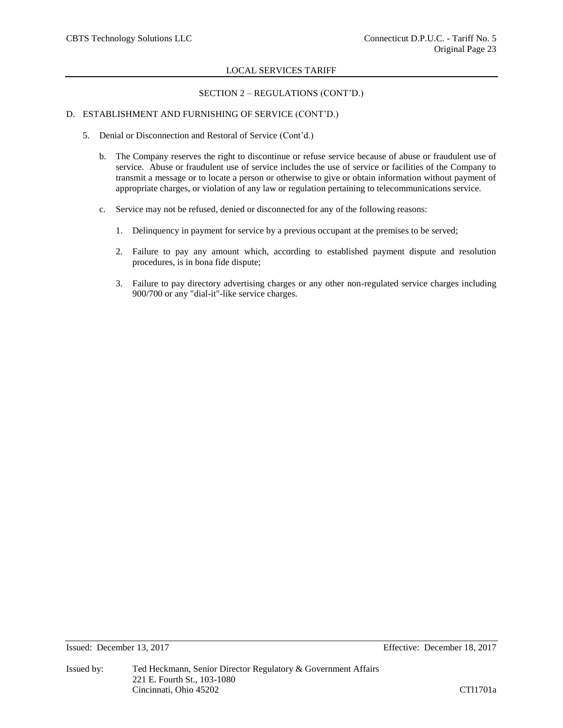# SECTION 2 – REGULATIONS (CONT'D.)

# D. ESTABLISHMENT AND FURNISHING OF SERVICE (CONT'D.)

- 5. Denial or Disconnection and Restoral of Service (Cont'd.)
	- b. The Company reserves the right to discontinue or refuse service because of abuse or fraudulent use of service. Abuse or fraudulent use of service includes the use of service or facilities of the Company to transmit a message or to locate a person or otherwise to give or obtain information without payment of appropriate charges, or violation of any law or regulation pertaining to telecommunications service.
	- c. Service may not be refused, denied or disconnected for any of the following reasons:
		- 1. Delinquency in payment for service by a previous occupant at the premises to be served;
		- 2. Failure to pay any amount which, according to established payment dispute and resolution procedures, is in bona fide dispute;
		- 3. Failure to pay directory advertising charges or any other non-regulated service charges including 900/700 or any "dial-it"-like service charges.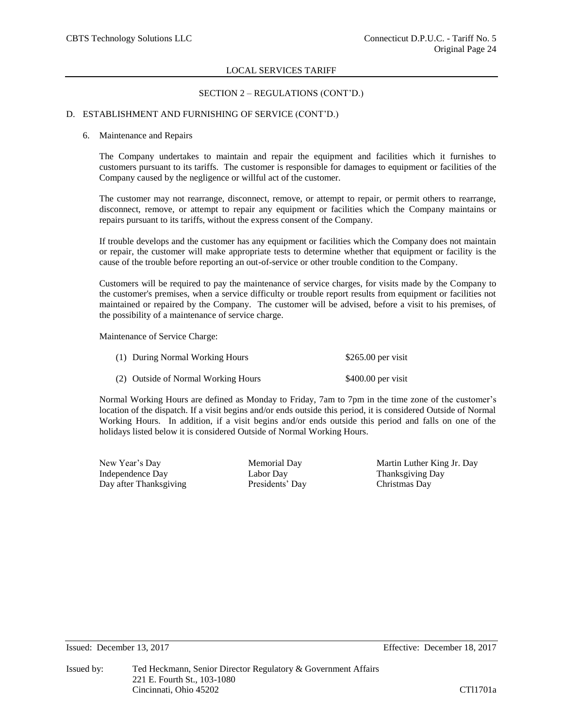## SECTION 2 – REGULATIONS (CONT'D.)

## D. ESTABLISHMENT AND FURNISHING OF SERVICE (CONT'D.)

#### 6. Maintenance and Repairs

The Company undertakes to maintain and repair the equipment and facilities which it furnishes to customers pursuant to its tariffs. The customer is responsible for damages to equipment or facilities of the Company caused by the negligence or willful act of the customer.

The customer may not rearrange, disconnect, remove, or attempt to repair, or permit others to rearrange, disconnect, remove, or attempt to repair any equipment or facilities which the Company maintains or repairs pursuant to its tariffs, without the express consent of the Company.

If trouble develops and the customer has any equipment or facilities which the Company does not maintain or repair, the customer will make appropriate tests to determine whether that equipment or facility is the cause of the trouble before reporting an out-of-service or other trouble condition to the Company.

Customers will be required to pay the maintenance of service charges, for visits made by the Company to the customer's premises, when a service difficulty or trouble report results from equipment or facilities not maintained or repaired by the Company. The customer will be advised, before a visit to his premises, of the possibility of a maintenance of service charge.

Maintenance of Service Charge:

| (1) During Normal Working Hours     | $$265.00$ per visit |
|-------------------------------------|---------------------|
| (2) Outside of Normal Working Hours | $$400.00$ per visit |

Normal Working Hours are defined as Monday to Friday, 7am to 7pm in the time zone of the customer's location of the dispatch. If a visit begins and/or ends outside this period, it is considered Outside of Normal Working Hours. In addition, if a visit begins and/or ends outside this period and falls on one of the holidays listed below it is considered Outside of Normal Working Hours.

Independence Day Labor Day Thanksgiving Day Day after Thanksgiving Presidents' Day Christmas Day

New Year's Day Memorial Day Martin Luther King Jr. Day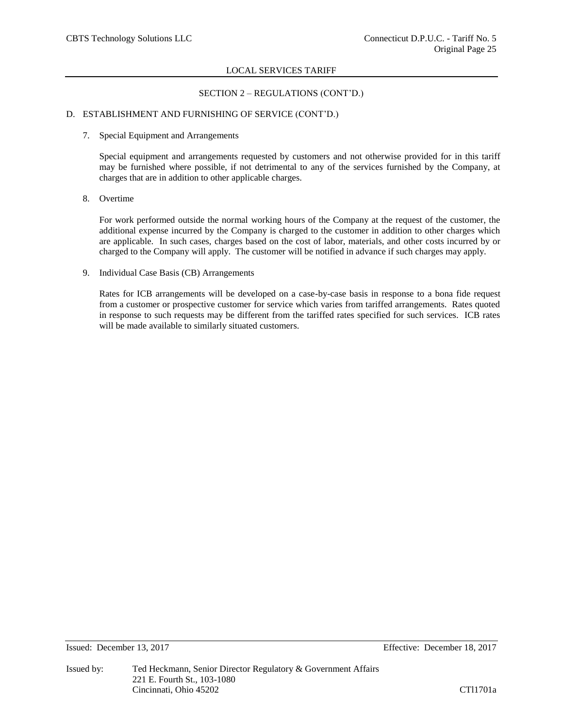## SECTION 2 – REGULATIONS (CONT'D.)

## D. ESTABLISHMENT AND FURNISHING OF SERVICE (CONT'D.)

#### 7. Special Equipment and Arrangements

Special equipment and arrangements requested by customers and not otherwise provided for in this tariff may be furnished where possible, if not detrimental to any of the services furnished by the Company, at charges that are in addition to other applicable charges.

# 8. Overtime

For work performed outside the normal working hours of the Company at the request of the customer, the additional expense incurred by the Company is charged to the customer in addition to other charges which are applicable. In such cases, charges based on the cost of labor, materials, and other costs incurred by or charged to the Company will apply. The customer will be notified in advance if such charges may apply.

## 9. Individual Case Basis (CB) Arrangements

Rates for ICB arrangements will be developed on a case-by-case basis in response to a bona fide request from a customer or prospective customer for service which varies from tariffed arrangements. Rates quoted in response to such requests may be different from the tariffed rates specified for such services. ICB rates will be made available to similarly situated customers.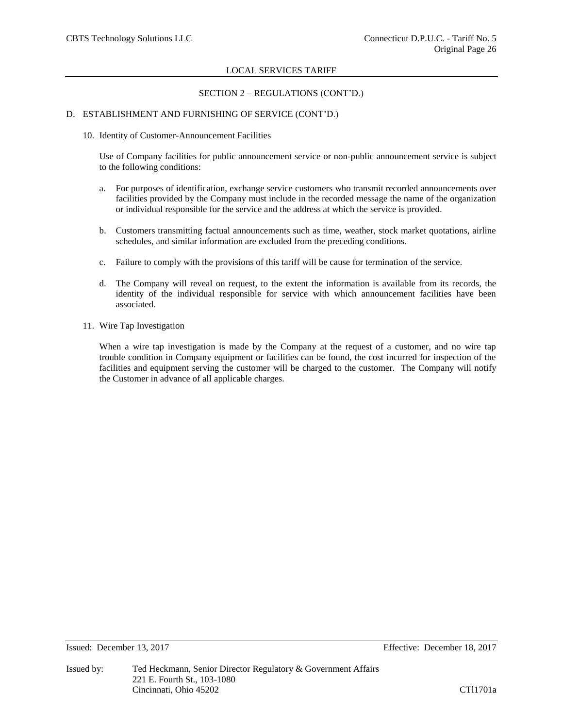## SECTION 2 – REGULATIONS (CONT'D.)

## D. ESTABLISHMENT AND FURNISHING OF SERVICE (CONT'D.)

10. Identity of Customer-Announcement Facilities

Use of Company facilities for public announcement service or non-public announcement service is subject to the following conditions:

- a. For purposes of identification, exchange service customers who transmit recorded announcements over facilities provided by the Company must include in the recorded message the name of the organization or individual responsible for the service and the address at which the service is provided.
- b. Customers transmitting factual announcements such as time, weather, stock market quotations, airline schedules, and similar information are excluded from the preceding conditions.
- c. Failure to comply with the provisions of this tariff will be cause for termination of the service.
- d. The Company will reveal on request, to the extent the information is available from its records, the identity of the individual responsible for service with which announcement facilities have been associated.
- 11. Wire Tap Investigation

When a wire tap investigation is made by the Company at the request of a customer, and no wire tap trouble condition in Company equipment or facilities can be found, the cost incurred for inspection of the facilities and equipment serving the customer will be charged to the customer. The Company will notify the Customer in advance of all applicable charges.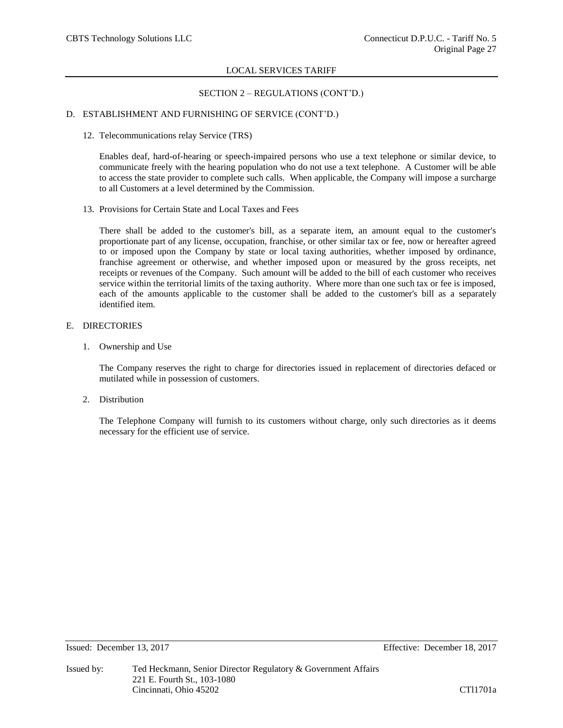# SECTION 2 – REGULATIONS (CONT'D.)

## D. ESTABLISHMENT AND FURNISHING OF SERVICE (CONT'D.)

12. Telecommunications relay Service (TRS)

Enables deaf, hard-of-hearing or speech-impaired persons who use a text telephone or similar device, to communicate freely with the hearing population who do not use a text telephone. A Customer will be able to access the state provider to complete such calls. When applicable, the Company will impose a surcharge to all Customers at a level determined by the Commission.

13. Provisions for Certain State and Local Taxes and Fees

There shall be added to the customer's bill, as a separate item, an amount equal to the customer's proportionate part of any license, occupation, franchise, or other similar tax or fee, now or hereafter agreed to or imposed upon the Company by state or local taxing authorities, whether imposed by ordinance, franchise agreement or otherwise, and whether imposed upon or measured by the gross receipts, net receipts or revenues of the Company. Such amount will be added to the bill of each customer who receives service within the territorial limits of the taxing authority. Where more than one such tax or fee is imposed, each of the amounts applicable to the customer shall be added to the customer's bill as a separately identified item.

### E. DIRECTORIES

1. Ownership and Use

The Company reserves the right to charge for directories issued in replacement of directories defaced or mutilated while in possession of customers.

2. Distribution

The Telephone Company will furnish to its customers without charge, only such directories as it deems necessary for the efficient use of service.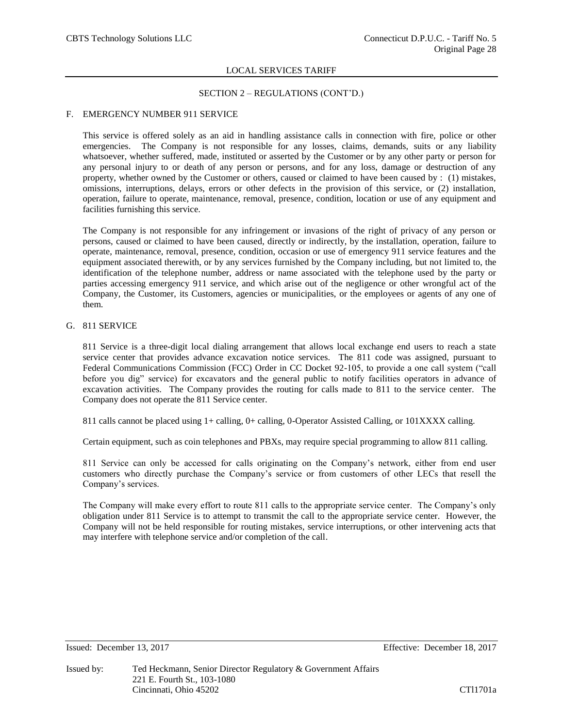## SECTION 2 – REGULATIONS (CONT'D.)

## F. EMERGENCY NUMBER 911 SERVICE

This service is offered solely as an aid in handling assistance calls in connection with fire, police or other emergencies. The Company is not responsible for any losses, claims, demands, suits or any liability whatsoever, whether suffered, made, instituted or asserted by the Customer or by any other party or person for any personal injury to or death of any person or persons, and for any loss, damage or destruction of any property, whether owned by the Customer or others, caused or claimed to have been caused by : (1) mistakes, omissions, interruptions, delays, errors or other defects in the provision of this service, or (2) installation, operation, failure to operate, maintenance, removal, presence, condition, location or use of any equipment and facilities furnishing this service.

The Company is not responsible for any infringement or invasions of the right of privacy of any person or persons, caused or claimed to have been caused, directly or indirectly, by the installation, operation, failure to operate, maintenance, removal, presence, condition, occasion or use of emergency 911 service features and the equipment associated therewith, or by any services furnished by the Company including, but not limited to, the identification of the telephone number, address or name associated with the telephone used by the party or parties accessing emergency 911 service, and which arise out of the negligence or other wrongful act of the Company, the Customer, its Customers, agencies or municipalities, or the employees or agents of any one of them.

## G. 811 SERVICE

811 Service is a three-digit local dialing arrangement that allows local exchange end users to reach a state service center that provides advance excavation notice services. The 811 code was assigned, pursuant to Federal Communications Commission (FCC) Order in CC Docket 92-105, to provide a one call system ("call before you dig" service) for excavators and the general public to notify facilities operators in advance of excavation activities. The Company provides the routing for calls made to 811 to the service center. The Company does not operate the 811 Service center.

811 calls cannot be placed using 1+ calling, 0+ calling, 0-Operator Assisted Calling, or 101XXXX calling.

Certain equipment, such as coin telephones and PBXs, may require special programming to allow 811 calling.

811 Service can only be accessed for calls originating on the Company's network, either from end user customers who directly purchase the Company's service or from customers of other LECs that resell the Company's services.

The Company will make every effort to route 811 calls to the appropriate service center. The Company's only obligation under 811 Service is to attempt to transmit the call to the appropriate service center. However, the Company will not be held responsible for routing mistakes, service interruptions, or other intervening acts that may interfere with telephone service and/or completion of the call.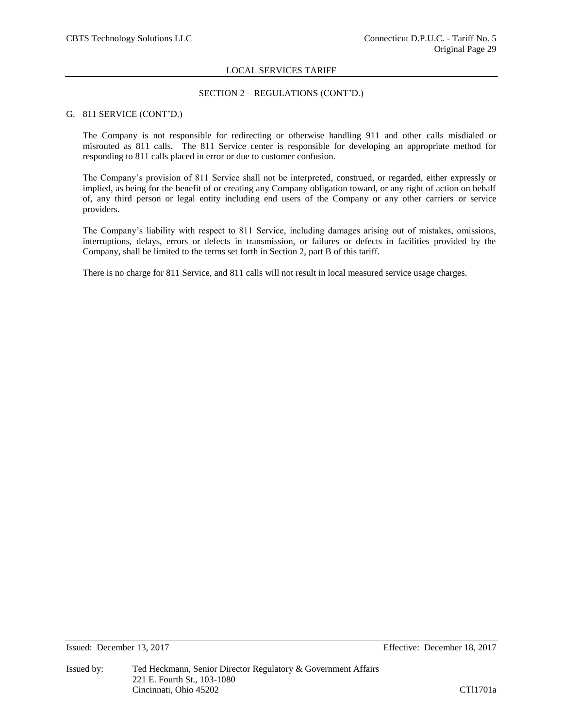## SECTION 2 – REGULATIONS (CONT'D.)

## G. 811 SERVICE (CONT'D.)

The Company is not responsible for redirecting or otherwise handling 911 and other calls misdialed or misrouted as 811 calls. The 811 Service center is responsible for developing an appropriate method for responding to 811 calls placed in error or due to customer confusion.

The Company's provision of 811 Service shall not be interpreted, construed, or regarded, either expressly or implied, as being for the benefit of or creating any Company obligation toward, or any right of action on behalf of, any third person or legal entity including end users of the Company or any other carriers or service providers.

The Company's liability with respect to 811 Service, including damages arising out of mistakes, omissions, interruptions, delays, errors or defects in transmission, or failures or defects in facilities provided by the Company, shall be limited to the terms set forth in Section 2, part B of this tariff.

There is no charge for 811 Service, and 811 calls will not result in local measured service usage charges.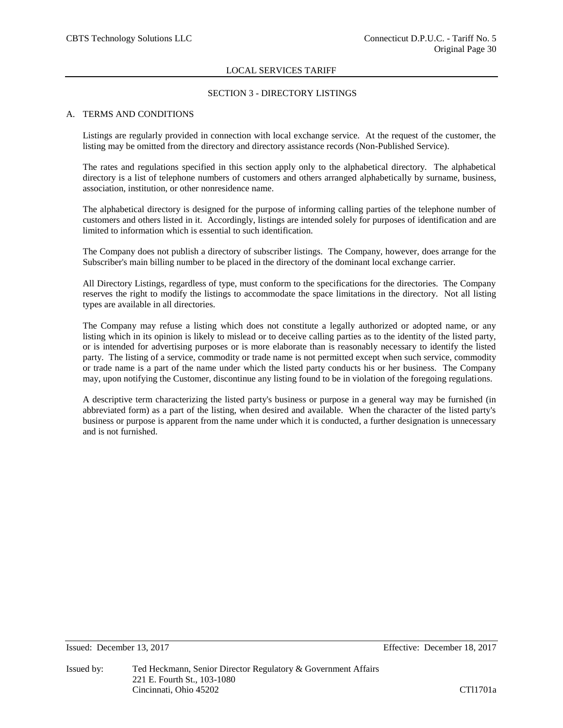## SECTION 3 - DIRECTORY LISTINGS

## A. TERMS AND CONDITIONS

Listings are regularly provided in connection with local exchange service. At the request of the customer, the listing may be omitted from the directory and directory assistance records (Non-Published Service).

The rates and regulations specified in this section apply only to the alphabetical directory. The alphabetical directory is a list of telephone numbers of customers and others arranged alphabetically by surname, business, association, institution, or other nonresidence name.

The alphabetical directory is designed for the purpose of informing calling parties of the telephone number of customers and others listed in it. Accordingly, listings are intended solely for purposes of identification and are limited to information which is essential to such identification.

The Company does not publish a directory of subscriber listings. The Company, however, does arrange for the Subscriber's main billing number to be placed in the directory of the dominant local exchange carrier.

All Directory Listings, regardless of type, must conform to the specifications for the directories. The Company reserves the right to modify the listings to accommodate the space limitations in the directory. Not all listing types are available in all directories.

The Company may refuse a listing which does not constitute a legally authorized or adopted name, or any listing which in its opinion is likely to mislead or to deceive calling parties as to the identity of the listed party, or is intended for advertising purposes or is more elaborate than is reasonably necessary to identify the listed party. The listing of a service, commodity or trade name is not permitted except when such service, commodity or trade name is a part of the name under which the listed party conducts his or her business. The Company may, upon notifying the Customer, discontinue any listing found to be in violation of the foregoing regulations.

A descriptive term characterizing the listed party's business or purpose in a general way may be furnished (in abbreviated form) as a part of the listing, when desired and available. When the character of the listed party's business or purpose is apparent from the name under which it is conducted, a further designation is unnecessary and is not furnished.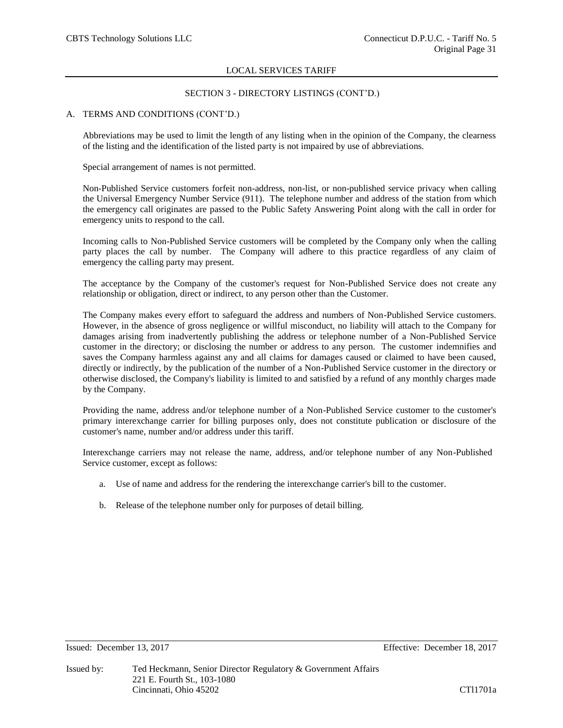## SECTION 3 - DIRECTORY LISTINGS (CONT'D.)

## A. TERMS AND CONDITIONS (CONT'D.)

Abbreviations may be used to limit the length of any listing when in the opinion of the Company, the clearness of the listing and the identification of the listed party is not impaired by use of abbreviations.

Special arrangement of names is not permitted.

Non-Published Service customers forfeit non-address, non-list, or non-published service privacy when calling the Universal Emergency Number Service (911). The telephone number and address of the station from which the emergency call originates are passed to the Public Safety Answering Point along with the call in order for emergency units to respond to the call.

Incoming calls to Non-Published Service customers will be completed by the Company only when the calling party places the call by number. The Company will adhere to this practice regardless of any claim of emergency the calling party may present.

The acceptance by the Company of the customer's request for Non-Published Service does not create any relationship or obligation, direct or indirect, to any person other than the Customer.

The Company makes every effort to safeguard the address and numbers of Non-Published Service customers. However, in the absence of gross negligence or willful misconduct, no liability will attach to the Company for damages arising from inadvertently publishing the address or telephone number of a Non-Published Service customer in the directory; or disclosing the number or address to any person. The customer indemnifies and saves the Company harmless against any and all claims for damages caused or claimed to have been caused, directly or indirectly, by the publication of the number of a Non-Published Service customer in the directory or otherwise disclosed, the Company's liability is limited to and satisfied by a refund of any monthly charges made by the Company.

Providing the name, address and/or telephone number of a Non-Published Service customer to the customer's primary interexchange carrier for billing purposes only, does not constitute publication or disclosure of the customer's name, number and/or address under this tariff.

Interexchange carriers may not release the name, address, and/or telephone number of any Non-Published Service customer, except as follows:

- a. Use of name and address for the rendering the interexchange carrier's bill to the customer.
- b. Release of the telephone number only for purposes of detail billing.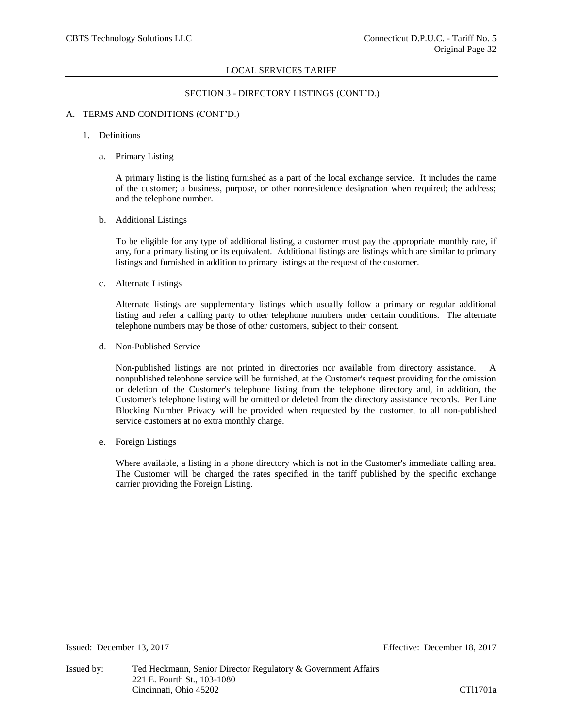## SECTION 3 - DIRECTORY LISTINGS (CONT'D.)

## A. TERMS AND CONDITIONS (CONT'D.)

#### 1. Definitions

a. Primary Listing

A primary listing is the listing furnished as a part of the local exchange service. It includes the name of the customer; a business, purpose, or other nonresidence designation when required; the address; and the telephone number.

b. Additional Listings

To be eligible for any type of additional listing, a customer must pay the appropriate monthly rate, if any, for a primary listing or its equivalent. Additional listings are listings which are similar to primary listings and furnished in addition to primary listings at the request of the customer.

c. Alternate Listings

Alternate listings are supplementary listings which usually follow a primary or regular additional listing and refer a calling party to other telephone numbers under certain conditions. The alternate telephone numbers may be those of other customers, subject to their consent.

d. Non-Published Service

Non-published listings are not printed in directories nor available from directory assistance. A nonpublished telephone service will be furnished, at the Customer's request providing for the omission or deletion of the Customer's telephone listing from the telephone directory and, in addition, the Customer's telephone listing will be omitted or deleted from the directory assistance records. Per Line Blocking Number Privacy will be provided when requested by the customer, to all non-published service customers at no extra monthly charge.

e. Foreign Listings

Where available, a listing in a phone directory which is not in the Customer's immediate calling area. The Customer will be charged the rates specified in the tariff published by the specific exchange carrier providing the Foreign Listing.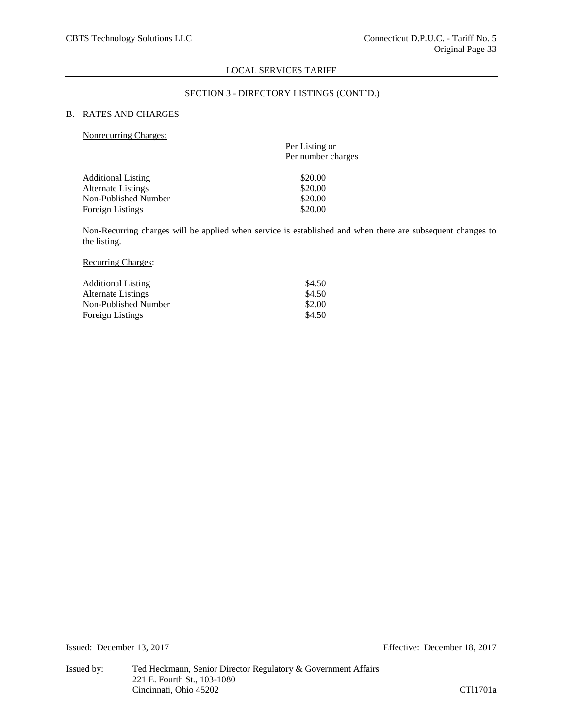## SECTION 3 - DIRECTORY LISTINGS (CONT'D.)

## B. RATES AND CHARGES

#### Nonrecurring Charges:

|                           | Per Listing or<br>Per number charges |
|---------------------------|--------------------------------------|
| <b>Additional Listing</b> | \$20.00                              |
| <b>Alternate Listings</b> | \$20.00                              |
| Non-Published Number      | \$20.00                              |
| <b>Foreign Listings</b>   | \$20.00                              |
|                           |                                      |

Non-Recurring charges will be applied when service is established and when there are subsequent changes to the listing.

## Recurring Charges:

| <b>Additional Listing</b> | \$4.50 |
|---------------------------|--------|
| Alternate Listings        | \$4.50 |
| Non-Published Number      | \$2.00 |
| Foreign Listings          | \$4.50 |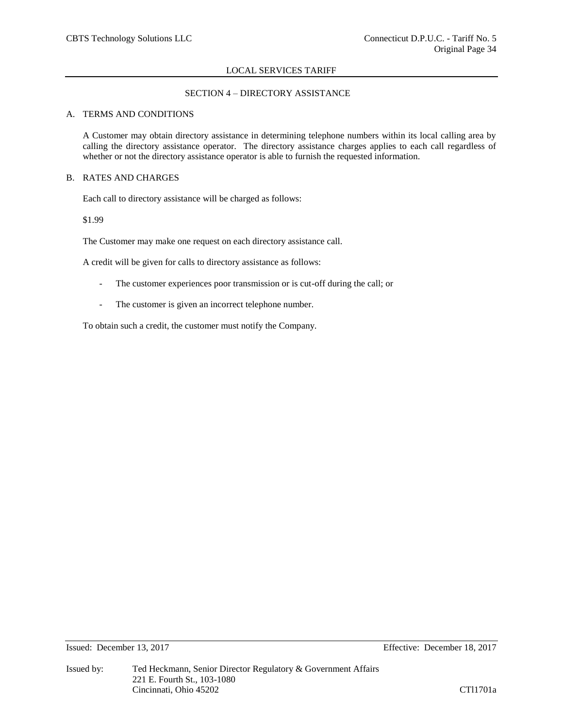# SECTION 4 – DIRECTORY ASSISTANCE

### A. TERMS AND CONDITIONS

A Customer may obtain directory assistance in determining telephone numbers within its local calling area by calling the directory assistance operator. The directory assistance charges applies to each call regardless of whether or not the directory assistance operator is able to furnish the requested information.

## B. RATES AND CHARGES

Each call to directory assistance will be charged as follows:

\$1.99

The Customer may make one request on each directory assistance call.

A credit will be given for calls to directory assistance as follows:

- The customer experiences poor transmission or is cut-off during the call; or
- The customer is given an incorrect telephone number.

To obtain such a credit, the customer must notify the Company.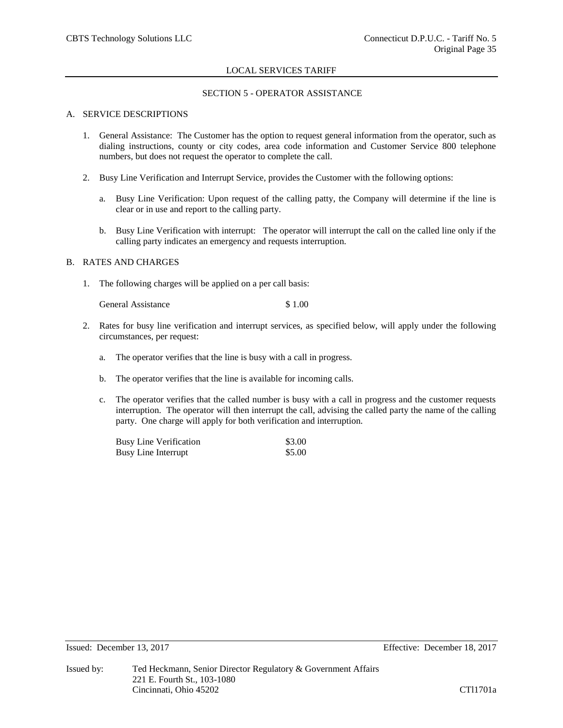## SECTION 5 - OPERATOR ASSISTANCE

## A. SERVICE DESCRIPTIONS

- 1. General Assistance: The Customer has the option to request general information from the operator, such as dialing instructions, county or city codes, area code information and Customer Service 800 telephone numbers, but does not request the operator to complete the call.
- 2. Busy Line Verification and Interrupt Service, provides the Customer with the following options:
	- a. Busy Line Verification: Upon request of the calling patty, the Company will determine if the line is clear or in use and report to the calling party.
	- b. Busy Line Verification with interrupt: The operator will interrupt the call on the called line only if the calling party indicates an emergency and requests interruption.

## B. RATES AND CHARGES

1. The following charges will be applied on a per call basis:

General Assistance \$ 1.00

- 2. Rates for busy line verification and interrupt services, as specified below, will apply under the following circumstances, per request:
	- a. The operator verifies that the line is busy with a call in progress.
	- b. The operator verifies that the line is available for incoming calls.
	- c. The operator verifies that the called number is busy with a call in progress and the customer requests interruption. The operator will then interrupt the call, advising the called party the name of the calling party. One charge will apply for both verification and interruption.

| <b>Busy Line Verification</b> | \$3.00 |
|-------------------------------|--------|
| <b>Busy Line Interrupt</b>    | \$5.00 |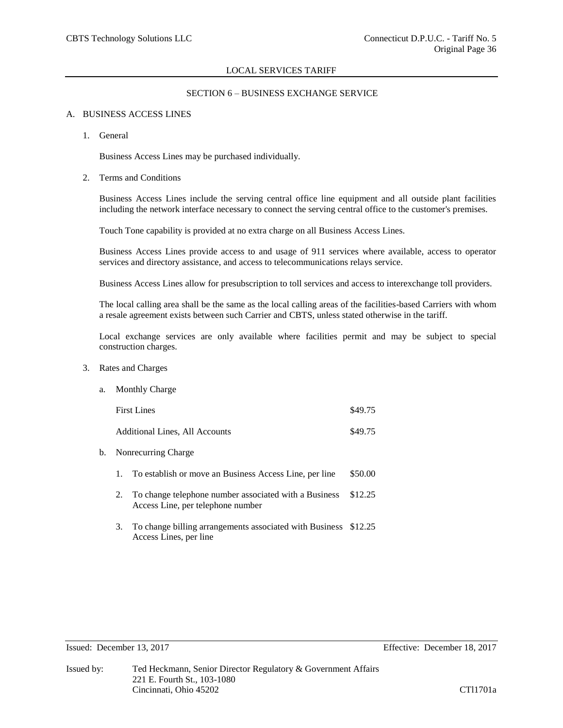## SECTION 6 – BUSINESS EXCHANGE SERVICE

## A. BUSINESS ACCESS LINES

1. General

Business Access Lines may be purchased individually.

2. Terms and Conditions

Business Access Lines include the serving central office line equipment and all outside plant facilities including the network interface necessary to connect the serving central office to the customer's premises.

Touch Tone capability is provided at no extra charge on all Business Access Lines.

Business Access Lines provide access to and usage of 911 services where available, access to operator services and directory assistance, and access to telecommunications relays service.

Business Access Lines allow for presubscription to toll services and access to interexchange toll providers.

The local calling area shall be the same as the local calling areas of the facilities-based Carriers with whom a resale agreement exists between such Carrier and CBTS, unless stated otherwise in the tariff.

Local exchange services are only available where facilities permit and may be subject to special construction charges.

3. Rates and Charges

| a. Monthly Charge                     |         |
|---------------------------------------|---------|
| <b>First Lines</b>                    | \$49.75 |
| <b>Additional Lines, All Accounts</b> | \$49.75 |
|                                       |         |

- b. Nonrecurring Charge
	- 1. To establish or move an Business Access Line, per line \$50.00
	- 2. To change telephone number associated with a Business \$12.25 Access Line, per telephone number
	- 3. To change billing arrangements associated with Business \$12.25 Access Lines, per line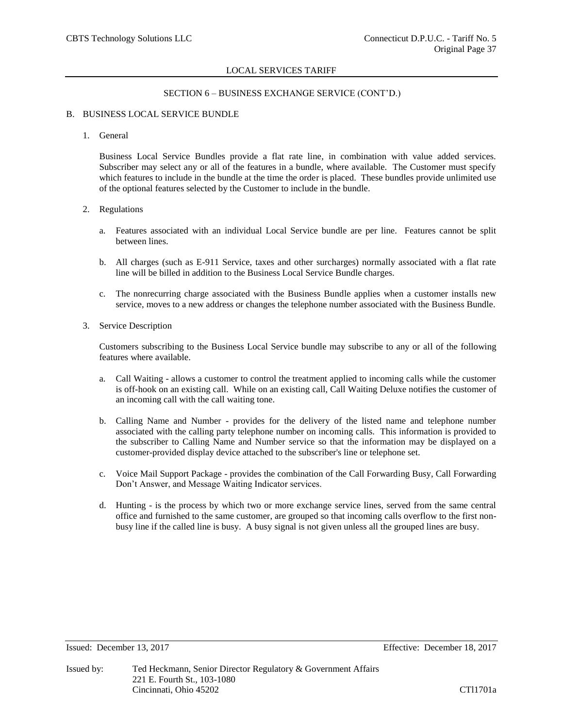## SECTION 6 – BUSINESS EXCHANGE SERVICE (CONT'D.)

## B. BUSINESS LOCAL SERVICE BUNDLE

1. General

Business Local Service Bundles provide a flat rate line, in combination with value added services. Subscriber may select any or all of the features in a bundle, where available. The Customer must specify which features to include in the bundle at the time the order is placed. These bundles provide unlimited use of the optional features selected by the Customer to include in the bundle.

### 2. Regulations

- a. Features associated with an individual Local Service bundle are per line. Features cannot be split between lines.
- b. All charges (such as E-911 Service, taxes and other surcharges) normally associated with a flat rate line will be billed in addition to the Business Local Service Bundle charges.
- c. The nonrecurring charge associated with the Business Bundle applies when a customer installs new service, moves to a new address or changes the telephone number associated with the Business Bundle.
- 3. Service Description

Customers subscribing to the Business Local Service bundle may subscribe to any or all of the following features where available.

- a. Call Waiting allows a customer to control the treatment applied to incoming calls while the customer is off-hook on an existing call. While on an existing call, Call Waiting Deluxe notifies the customer of an incoming call with the call waiting tone.
- b. Calling Name and Number provides for the delivery of the listed name and telephone number associated with the calling party telephone number on incoming calls. This information is provided to the subscriber to Calling Name and Number service so that the information may be displayed on a customer-provided display device attached to the subscriber's line or telephone set.
- c. Voice Mail Support Package provides the combination of the Call Forwarding Busy, Call Forwarding Don't Answer, and Message Waiting Indicator services.
- d. Hunting is the process by which two or more exchange service lines, served from the same central office and furnished to the same customer, are grouped so that incoming calls overflow to the first nonbusy line if the called line is busy. A busy signal is not given unless all the grouped lines are busy.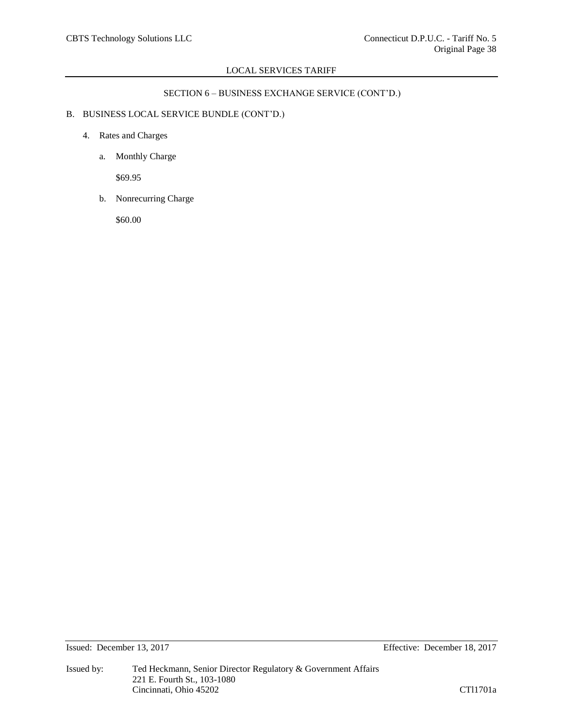# SECTION 6 – BUSINESS EXCHANGE SERVICE (CONT'D.)

# B. BUSINESS LOCAL SERVICE BUNDLE (CONT'D.)

- 4. Rates and Charges
	- a. Monthly Charge

\$69.95

b. Nonrecurring Charge

\$60.00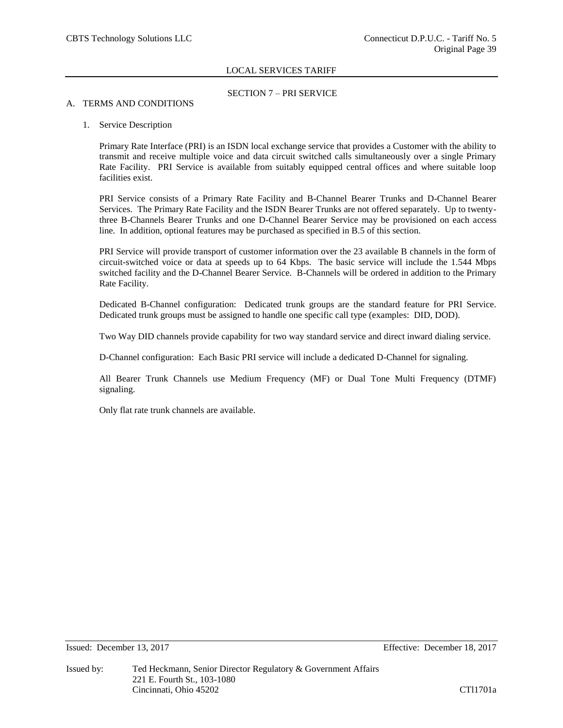## SECTION 7 – PRI SERVICE

## A. TERMS AND CONDITIONS

## 1. Service Description

Primary Rate Interface (PRI) is an ISDN local exchange service that provides a Customer with the ability to transmit and receive multiple voice and data circuit switched calls simultaneously over a single Primary Rate Facility. PRI Service is available from suitably equipped central offices and where suitable loop facilities exist.

PRI Service consists of a Primary Rate Facility and B-Channel Bearer Trunks and D-Channel Bearer Services. The Primary Rate Facility and the ISDN Bearer Trunks are not offered separately. Up to twentythree B-Channels Bearer Trunks and one D-Channel Bearer Service may be provisioned on each access line. In addition, optional features may be purchased as specified in B.5 of this section.

PRI Service will provide transport of customer information over the 23 available B channels in the form of circuit-switched voice or data at speeds up to 64 Kbps. The basic service will include the 1.544 Mbps switched facility and the D-Channel Bearer Service. B-Channels will be ordered in addition to the Primary Rate Facility.

Dedicated B-Channel configuration: Dedicated trunk groups are the standard feature for PRI Service. Dedicated trunk groups must be assigned to handle one specific call type (examples: DID, DOD).

Two Way DID channels provide capability for two way standard service and direct inward dialing service.

D-Channel configuration: Each Basic PRI service will include a dedicated D-Channel for signaling.

All Bearer Trunk Channels use Medium Frequency (MF) or Dual Tone Multi Frequency (DTMF) signaling.

Only flat rate trunk channels are available.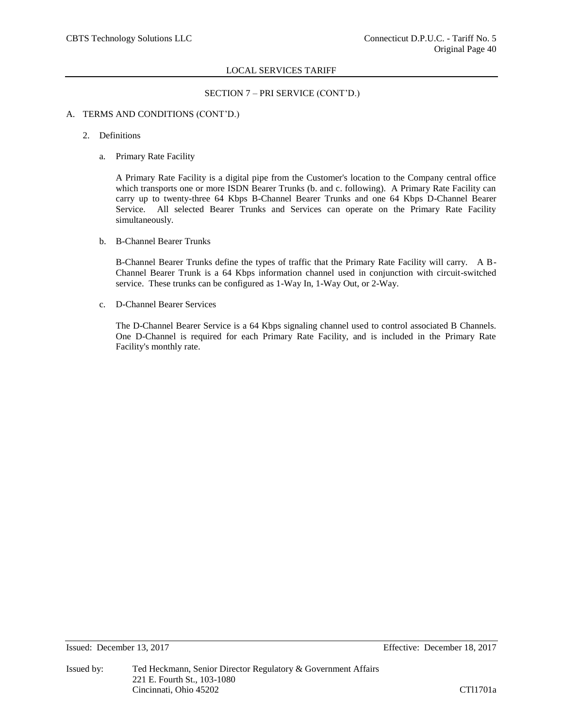## SECTION 7 – PRI SERVICE (CONT'D.)

## A. TERMS AND CONDITIONS (CONT'D.)

- 2. Definitions
	- a. Primary Rate Facility

A Primary Rate Facility is a digital pipe from the Customer's location to the Company central office which transports one or more ISDN Bearer Trunks (b. and c. following). A Primary Rate Facility can carry up to twenty-three 64 Kbps B-Channel Bearer Trunks and one 64 Kbps D-Channel Bearer Service. All selected Bearer Trunks and Services can operate on the Primary Rate Facility simultaneously.

b. B-Channel Bearer Trunks

B-Channel Bearer Trunks define the types of traffic that the Primary Rate Facility will carry. A B-Channel Bearer Trunk is a 64 Kbps information channel used in conjunction with circuit-switched service. These trunks can be configured as 1-Way In, 1-Way Out, or 2-Way.

c. D-Channel Bearer Services

The D-Channel Bearer Service is a 64 Kbps signaling channel used to control associated B Channels. One D-Channel is required for each Primary Rate Facility, and is included in the Primary Rate Facility's monthly rate.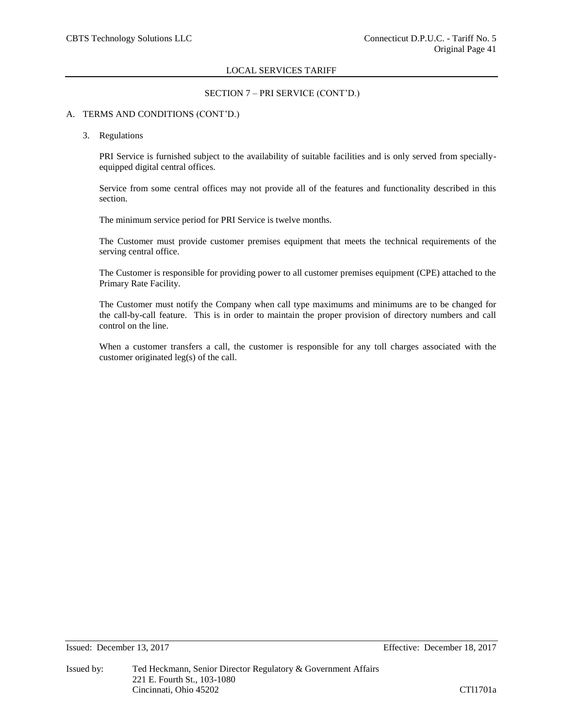## SECTION 7 – PRI SERVICE (CONT'D.)

## A. TERMS AND CONDITIONS (CONT'D.)

#### 3. Regulations

PRI Service is furnished subject to the availability of suitable facilities and is only served from speciallyequipped digital central offices.

Service from some central offices may not provide all of the features and functionality described in this section.

The minimum service period for PRI Service is twelve months.

The Customer must provide customer premises equipment that meets the technical requirements of the serving central office.

The Customer is responsible for providing power to all customer premises equipment (CPE) attached to the Primary Rate Facility.

The Customer must notify the Company when call type maximums and minimums are to be changed for the call-by-call feature. This is in order to maintain the proper provision of directory numbers and call control on the line.

When a customer transfers a call, the customer is responsible for any toll charges associated with the customer originated leg(s) of the call.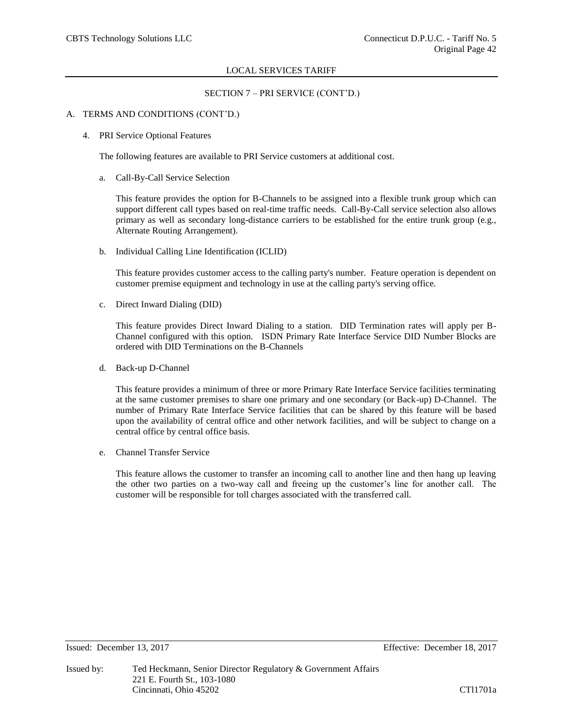## SECTION 7 – PRI SERVICE (CONT'D.)

## A. TERMS AND CONDITIONS (CONT'D.)

4. PRI Service Optional Features

The following features are available to PRI Service customers at additional cost.

a. Call-By-Call Service Selection

This feature provides the option for B-Channels to be assigned into a flexible trunk group which can support different call types based on real-time traffic needs. Call-By-Call service selection also allows primary as well as secondary long-distance carriers to be established for the entire trunk group (e.g., Alternate Routing Arrangement).

b. Individual Calling Line Identification (ICLID)

This feature provides customer access to the calling party's number. Feature operation is dependent on customer premise equipment and technology in use at the calling party's serving office.

c. Direct Inward Dialing (DID)

This feature provides Direct Inward Dialing to a station. DID Termination rates will apply per B-Channel configured with this option. ISDN Primary Rate Interface Service DID Number Blocks are ordered with DID Terminations on the B-Channels

d. Back-up D-Channel

This feature provides a minimum of three or more Primary Rate Interface Service facilities terminating at the same customer premises to share one primary and one secondary (or Back-up) D-Channel. The number of Primary Rate Interface Service facilities that can be shared by this feature will be based upon the availability of central office and other network facilities, and will be subject to change on a central office by central office basis.

e. Channel Transfer Service

This feature allows the customer to transfer an incoming call to another line and then hang up leaving the other two parties on a two-way call and freeing up the customer's line for another call. The customer will be responsible for toll charges associated with the transferred call.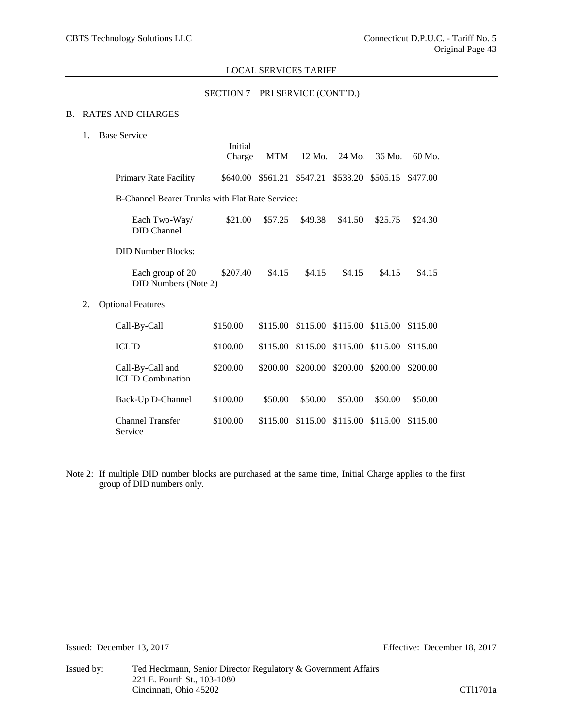## SECTION 7 – PRI SERVICE (CONT'D.)

## B. RATES AND CHARGES

1. Base Service

|    |                                                 | Initial<br>Charge | <b>MTM</b> | 12 Mo.   | 24 Mo.            | 36 Mo.   | 60 Mo.   |
|----|-------------------------------------------------|-------------------|------------|----------|-------------------|----------|----------|
|    | Primary Rate Facility                           | \$640.00          | \$561.21   | \$547.21 | \$533.20          | \$505.15 | \$477.00 |
|    | B-Channel Bearer Trunks with Flat Rate Service: |                   |            |          |                   |          |          |
|    | Each Two-Way/<br>DID Channel                    | \$21.00           | \$57.25    | \$49.38  | \$41.50           | \$25.75  | \$24.30  |
|    | <b>DID Number Blocks:</b>                       |                   |            |          |                   |          |          |
|    | Each group of 20<br>DID Numbers (Note 2)        | \$207.40          | \$4.15     | \$4.15   | \$4.15            | \$4.15   | \$4.15   |
| 2. | <b>Optional Features</b>                        |                   |            |          |                   |          |          |
|    | Call-By-Call                                    | \$150.00          | \$115.00   |          | \$115.00 \$115.00 | \$115.00 | \$115.00 |
|    | <b>ICLID</b>                                    | \$100.00          | \$115.00   | \$115.00 | \$115.00          | \$115.00 | \$115.00 |
|    | Call-By-Call and<br><b>ICLID</b> Combination    | \$200.00          | \$200.00   | \$200.00 | \$200.00          | \$200.00 | \$200.00 |
|    | Back-Up D-Channel                               | \$100.00          | \$50.00    | \$50.00  | \$50.00           | \$50.00  | \$50.00  |
|    | <b>Channel Transfer</b><br>Service              | \$100.00          | \$115.00   | \$115.00 | \$115.00          | \$115.00 | \$115.00 |

Note 2: If multiple DID number blocks are purchased at the same time, Initial Charge applies to the first group of DID numbers only.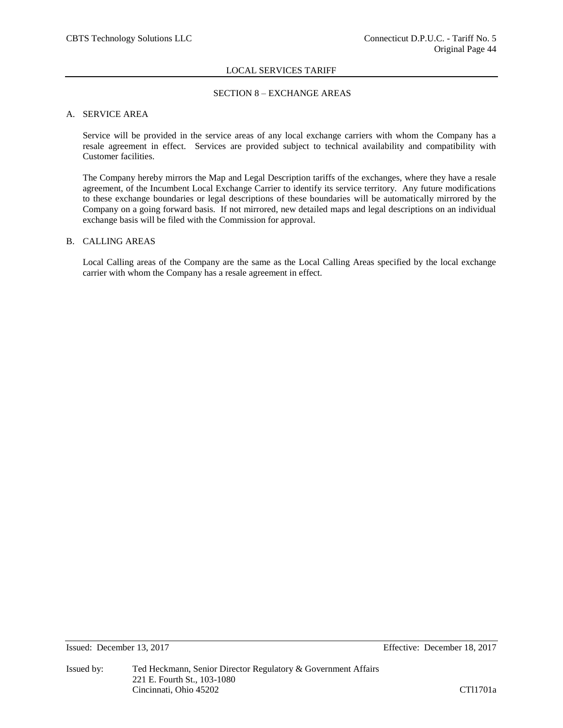## SECTION 8 – EXCHANGE AREAS

## A. SERVICE AREA

Service will be provided in the service areas of any local exchange carriers with whom the Company has a resale agreement in effect. Services are provided subject to technical availability and compatibility with Customer facilities.

The Company hereby mirrors the Map and Legal Description tariffs of the exchanges, where they have a resale agreement, of the Incumbent Local Exchange Carrier to identify its service territory. Any future modifications to these exchange boundaries or legal descriptions of these boundaries will be automatically mirrored by the Company on a going forward basis. If not mirrored, new detailed maps and legal descriptions on an individual exchange basis will be filed with the Commission for approval.

## B. CALLING AREAS

Local Calling areas of the Company are the same as the Local Calling Areas specified by the local exchange carrier with whom the Company has a resale agreement in effect.